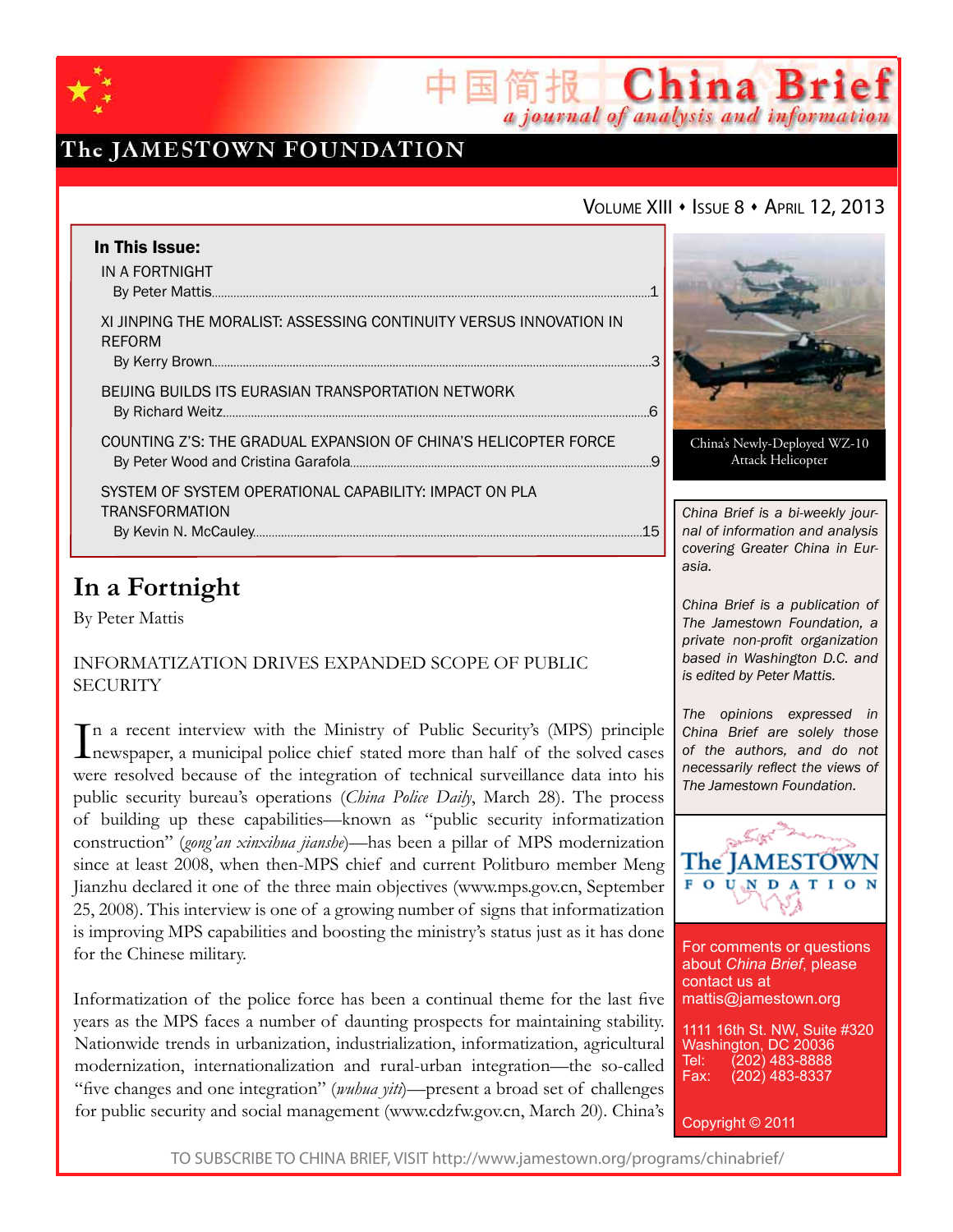

## The JAMESTOWN FOUNDATION

### VOLUME XIII · ISSUE 8 · APRIL 12, 2013

简报 China Brief

a journal of analysis and information

| In This Issue:<br>IN A FORTNIGHT                                                    |    |                     |
|-------------------------------------------------------------------------------------|----|---------------------|
| XI JINPING THE MORALIST: ASSESSING CONTINUITY VERSUS INNOVATION IN<br><b>REFORM</b> |    |                     |
| BEIJING BUILDS ITS EURASIAN TRANSPORTATION NETWORK                                  |    |                     |
| COUNTING Z'S: THE GRADUAL EXPANSION OF CHINA'S HELICOPTER FORCE                     |    | Ch                  |
| SYSTEM OF SYSTEM OPERATIONAL CAPABILITY: IMPACT ON PLA<br><b>TRANSFORMATION</b>     | 15 | Chir<br>nal<br>COVO |

## **In a Fortnight**

By Peter Mattis

### Informatization Drives Expanded Scope of Public **SECURITY**

In a recent interview with the Ministry of Public Security's (MPS) principle<br>newspaper, a municipal police chief stated more than half of the solved cases newspaper, a municipal police chief stated more than half of the solved cases were resolved because of the integration of technical surveillance data into his public security bureau's operations (*China Police Daily*, March 28). The process of building up these capabilities—known as "public security informatization construction" (*gong'an xinxihua jianshe*)—has been a pillar of MPS modernization since at least 2008, when then-MPS chief and current Politburo member Meng Jianzhu declared it one of the three main objectives (www.mps.gov.cn, September 25, 2008). This interview is one of a growing number of signs that informatization is improving MPS capabilities and boosting the ministry's status just as it has done for the Chinese military.

Informatization of the police force has been a continual theme for the last five years as the MPS faces a number of daunting prospects for maintaining stability. Nationwide trends in urbanization, industrialization, informatization, agricultural modernization, internationalization and rural-urban integration—the so-called "five changes and one integration" (*wuhua yiti*)—present a broad set of challenges for public security and social management (www.cdzfw.gov.cn, March 20). China's



ina's Newly-Deployed WZ-10 Attack Helicopter

*China Brief is a bi-weekly journal of information and analysis covering Greater China in Eurasia.* 

*China Brief is a publication of The Jamestown Foundation, a private non-profit organization based in Washington D.C. and is edited by Peter Mattis.*

*The opinions expressed in China Brief are solely those of the authors, and do not necessarily reflect the views of The Jamestown Foundation.*



For comments or questions about *China Brief*, please contact us at mattis@jamestown.org

1111 16th St. NW, Suite #320 Washington, DC 20036 Tel: (202) 483-8888<br>Fax: (202) 483-8337 Fax: (202) 483-8337

Copyright © 2011

TO SUBSCRIBE TO CHINA BRIEF, VISIT http://www.jamestown.org/programs/chinabrief/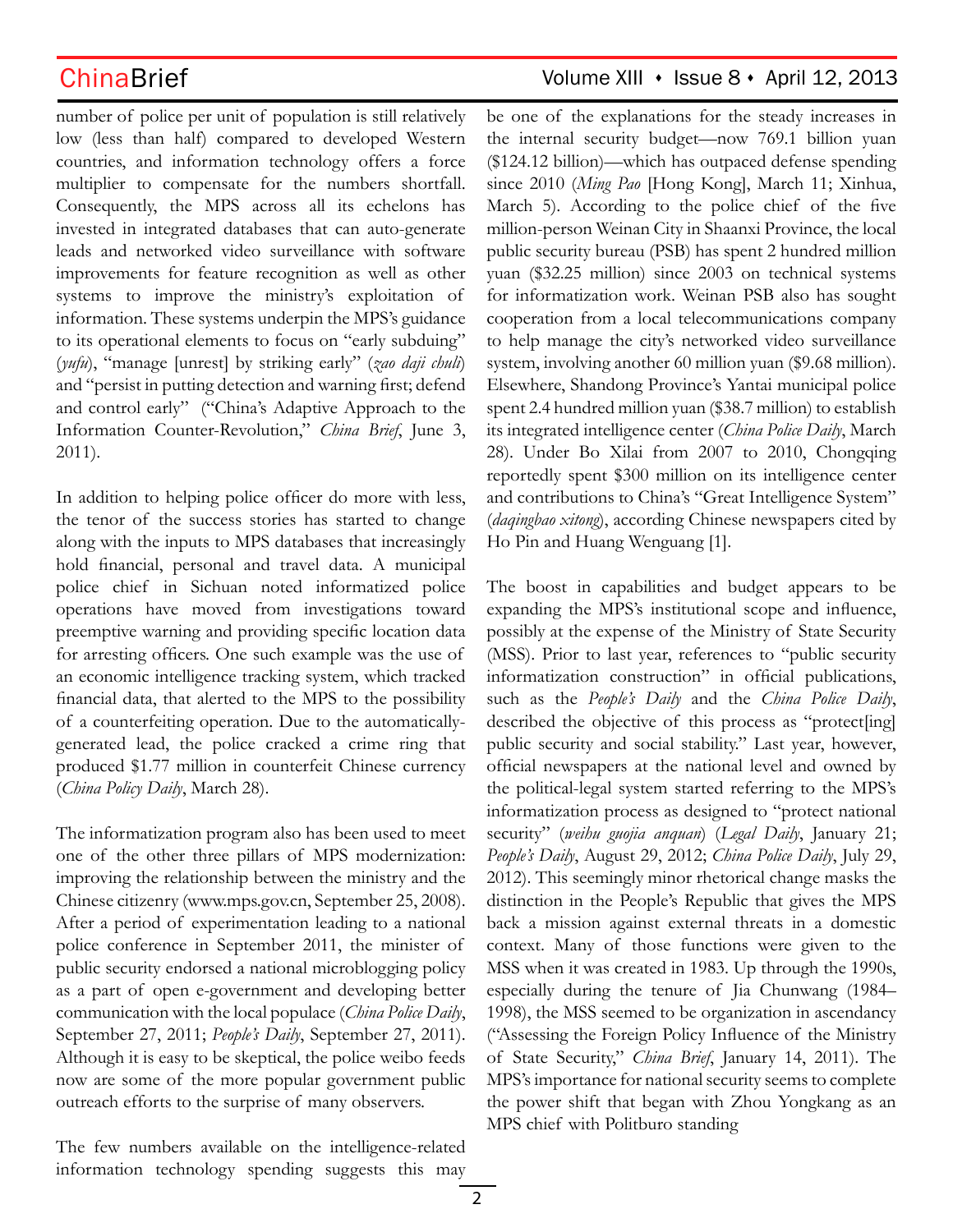number of police per unit of population is still relatively low (less than half) compared to developed Western countries, and information technology offers a force multiplier to compensate for the numbers shortfall. Consequently, the MPS across all its echelons has invested in integrated databases that can auto-generate leads and networked video surveillance with software improvements for feature recognition as well as other systems to improve the ministry's exploitation of information. These systems underpin the MPS's guidance to its operational elements to focus on "early subduing" (*yufu*), "manage [unrest] by striking early" (*zao daji chuli*) and "persist in putting detection and warning first; defend and control early" ("China's Adaptive Approach to the Information Counter-Revolution," *China Brief*, June 3, 2011).

In addition to helping police officer do more with less, the tenor of the success stories has started to change along with the inputs to MPS databases that increasingly hold financial, personal and travel data. A municipal police chief in Sichuan noted informatized police operations have moved from investigations toward preemptive warning and providing specific location data for arresting officers. One such example was the use of an economic intelligence tracking system, which tracked financial data, that alerted to the MPS to the possibility of a counterfeiting operation. Due to the automaticallygenerated lead, the police cracked a crime ring that produced \$1.77 million in counterfeit Chinese currency (*China Policy Daily*, March 28).

The informatization program also has been used to meet one of the other three pillars of MPS modernization: improving the relationship between the ministry and the Chinese citizenry (www.mps.gov.cn, September 25, 2008). After a period of experimentation leading to a national police conference in September 2011, the minister of public security endorsed a national microblogging policy as a part of open e-government and developing better communication with the local populace (*China Police Daily*, September 27, 2011; *People's Daily*, September 27, 2011). Although it is easy to be skeptical, the police weibo feeds now are some of the more popular government public outreach efforts to the surprise of many observers.

The few numbers available on the intelligence-related information technology spending suggests this may

## ChinaBrief Volume XIII · Issue 8 · April 12, 2013

be one of the explanations for the steady increases in the internal security budget—now 769.1 billion yuan (\$124.12 billion)—which has outpaced defense spending since 2010 (*Ming Pao* [Hong Kong], March 11; Xinhua, March 5). According to the police chief of the five million-person Weinan City in Shaanxi Province, the local public security bureau (PSB) has spent 2 hundred million yuan (\$32.25 million) since 2003 on technical systems for informatization work. Weinan PSB also has sought cooperation from a local telecommunications company to help manage the city's networked video surveillance system, involving another 60 million yuan (\$9.68 million). Elsewhere, Shandong Province's Yantai municipal police spent 2.4 hundred million yuan (\$38.7 million) to establish its integrated intelligence center (*China Police Daily*, March 28). Under Bo Xilai from 2007 to 2010, Chongqing reportedly spent \$300 million on its intelligence center and contributions to China's "Great Intelligence System" (*daqingbao xitong*), according Chinese newspapers cited by Ho Pin and Huang Wenguang [1].

The boost in capabilities and budget appears to be expanding the MPS's institutional scope and influence, possibly at the expense of the Ministry of State Security (MSS). Prior to last year, references to "public security informatization construction" in official publications, such as the *People's Daily* and the *China Police Daily*, described the objective of this process as "protect[ing] public security and social stability." Last year, however, official newspapers at the national level and owned by the political-legal system started referring to the MPS's informatization process as designed to "protect national security" (*weihu guojia anquan*) (*Legal Daily*, January 21; *People's Daily*, August 29, 2012; *China Police Daily*, July 29, 2012). This seemingly minor rhetorical change masks the distinction in the People's Republic that gives the MPS back a mission against external threats in a domestic context. Many of those functions were given to the MSS when it was created in 1983. Up through the 1990s, especially during the tenure of Jia Chunwang (1984– 1998), the MSS seemed to be organization in ascendancy ("Assessing the Foreign Policy Influence of the Ministry of State Security," *China Brief*, January 14, 2011). The MPS's importance for national security seems to complete the power shift that began with Zhou Yongkang as an MPS chief with Politburo standing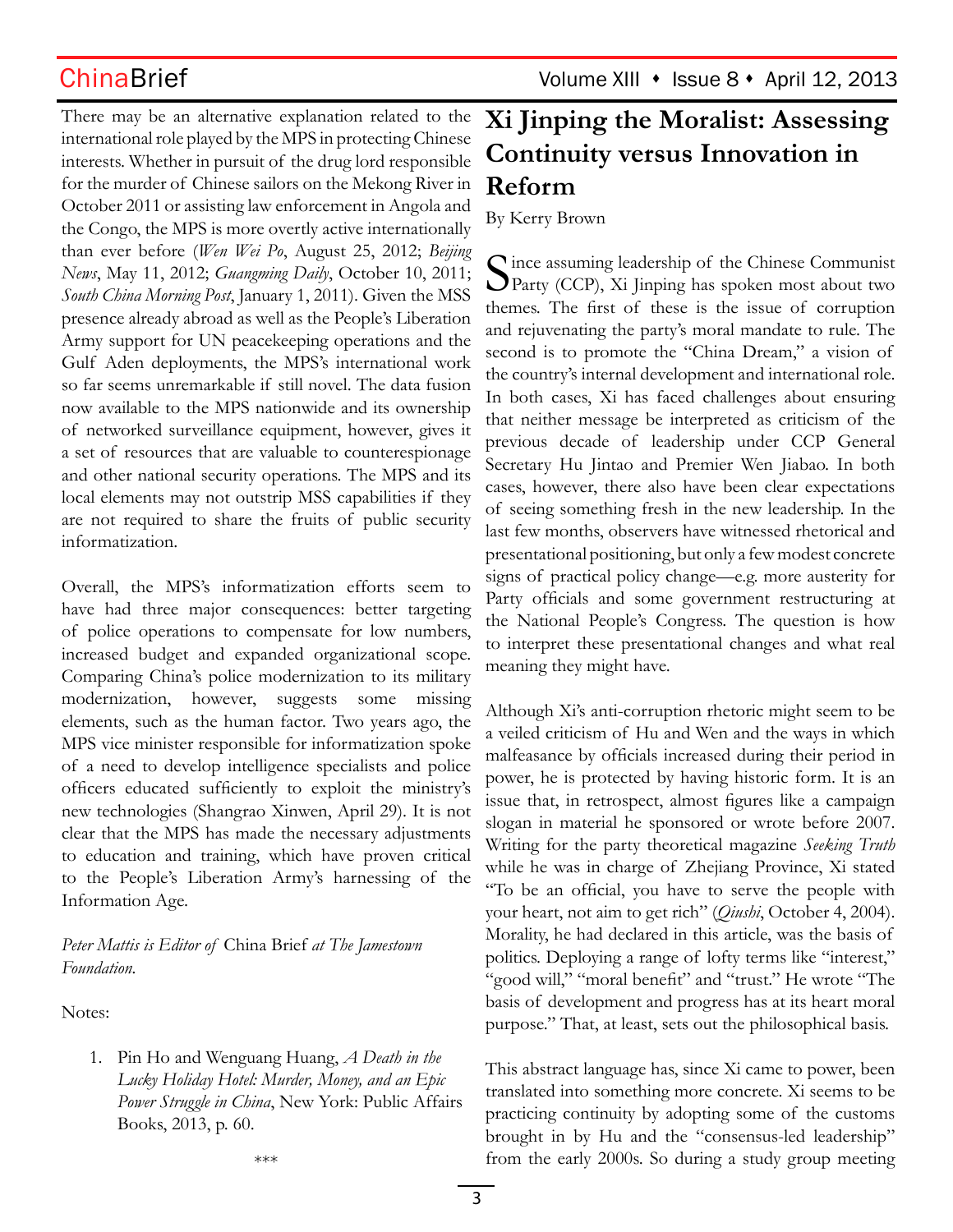ChinaBrief Volume XIII • Issue 8 • April 12, 2013

There may be an alternative explanation related to the international role played by the MPS in protecting Chinese interests. Whether in pursuit of the drug lord responsible for the murder of Chinese sailors on the Mekong River in October 2011 or assisting law enforcement in Angola and the Congo, the MPS is more overtly active internationally than ever before (*Wen Wei Po*, August 25, 2012; *Beijing News*, May 11, 2012; *Guangming Daily*, October 10, 2011; *South China Morning Post*, January 1, 2011). Given the MSS presence already abroad as well as the People's Liberation Army support for UN peacekeeping operations and the Gulf Aden deployments, the MPS's international work so far seems unremarkable if still novel. The data fusion now available to the MPS nationwide and its ownership of networked surveillance equipment, however, gives it a set of resources that are valuable to counterespionage and other national security operations. The MPS and its local elements may not outstrip MSS capabilities if they are not required to share the fruits of public security informatization.

Overall, the MPS's informatization efforts seem to have had three major consequences: better targeting of police operations to compensate for low numbers, increased budget and expanded organizational scope. Comparing China's police modernization to its military modernization, however, suggests some missing elements, such as the human factor. Two years ago, the MPS vice minister responsible for informatization spoke of a need to develop intelligence specialists and police officers educated sufficiently to exploit the ministry's new technologies (Shangrao Xinwen, April 29). It is not clear that the MPS has made the necessary adjustments to education and training, which have proven critical to the People's Liberation Army's harnessing of the Information Age.

*Peter Mattis is Editor of* China Brief *at The Jamestown Foundation.*

Notes:

1. Pin Ho and Wenguang Huang, *A Death in the Lucky Holiday Hotel: Murder, Money, and an Epic Power Struggle in China*, New York: Public Affairs Books, 2013, p. 60.

# **Xi Jinping the Moralist: Assessing Continuity versus Innovation in Reform**

By Kerry Brown

Since assuming leadership of the Chinese Communist<br>Party (CCP), Xi Jinping has spoken most about two themes. The first of these is the issue of corruption and rejuvenating the party's moral mandate to rule. The second is to promote the "China Dream," a vision of the country's internal development and international role. In both cases, Xi has faced challenges about ensuring that neither message be interpreted as criticism of the previous decade of leadership under CCP General Secretary Hu Jintao and Premier Wen Jiabao. In both cases, however, there also have been clear expectations of seeing something fresh in the new leadership. In the last few months, observers have witnessed rhetorical and presentational positioning, but only a few modest concrete signs of practical policy change—e.g. more austerity for Party officials and some government restructuring at the National People's Congress. The question is how to interpret these presentational changes and what real meaning they might have.

Although Xi's anti-corruption rhetoric might seem to be a veiled criticism of Hu and Wen and the ways in which malfeasance by officials increased during their period in power, he is protected by having historic form. It is an issue that, in retrospect, almost figures like a campaign slogan in material he sponsored or wrote before 2007. Writing for the party theoretical magazine *Seeking Truth* while he was in charge of Zhejiang Province, Xi stated "To be an official, you have to serve the people with your heart, not aim to get rich" (*Qiushi*, October 4, 2004). Morality, he had declared in this article, was the basis of politics. Deploying a range of lofty terms like "interest," "good will," "moral benefit" and "trust." He wrote "The basis of development and progress has at its heart moral purpose." That, at least, sets out the philosophical basis.

This abstract language has, since Xi came to power, been translated into something more concrete. Xi seems to be practicing continuity by adopting some of the customs brought in by Hu and the "consensus-led leadership" from the early 2000s. So during a study group meeting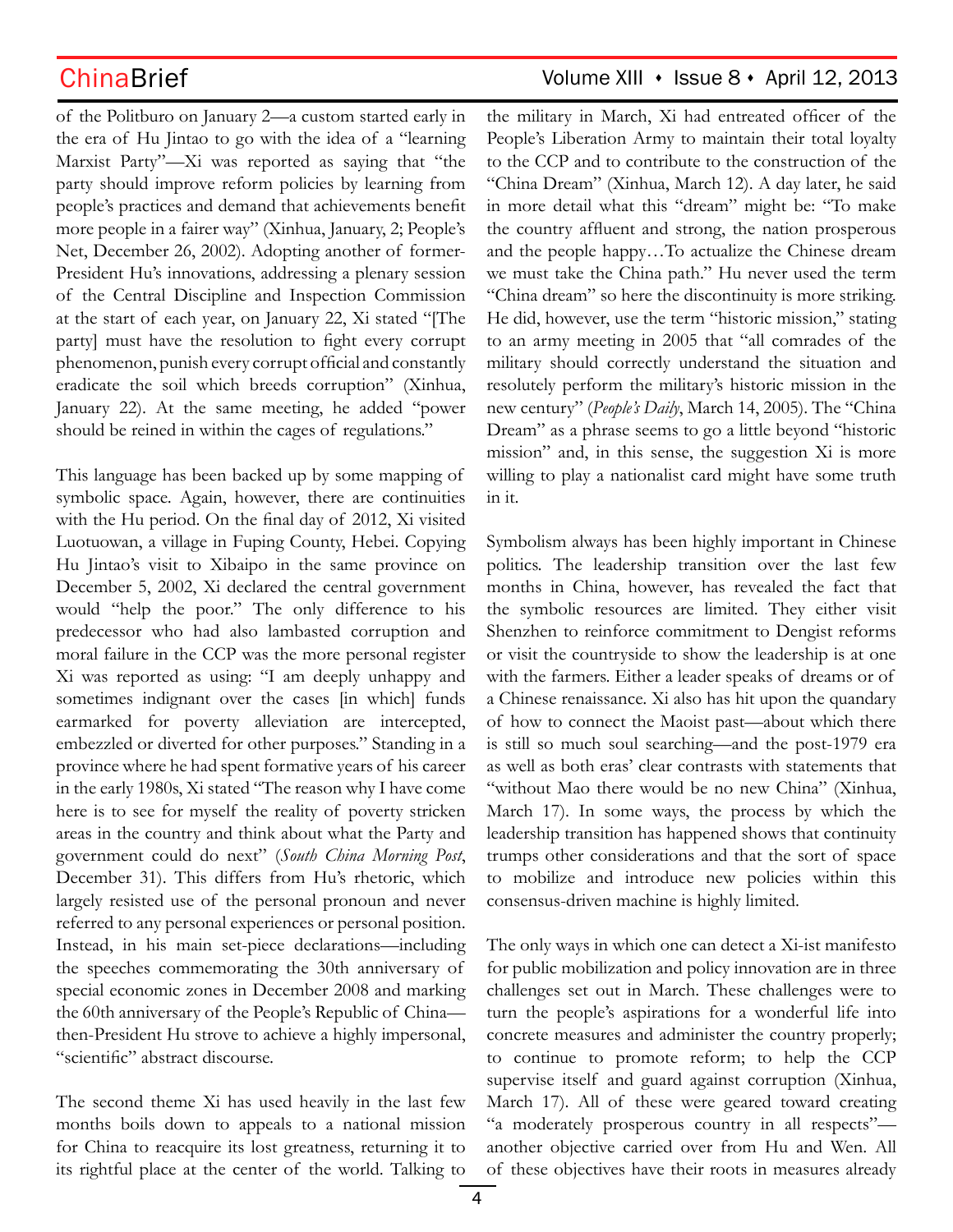of the Politburo on January 2—a custom started early in the era of Hu Jintao to go with the idea of a "learning Marxist Party"—Xi was reported as saying that "the party should improve reform policies by learning from people's practices and demand that achievements benefit more people in a fairer way" (Xinhua, January, 2; People's Net, December 26, 2002). Adopting another of former-President Hu's innovations, addressing a plenary session of the Central Discipline and Inspection Commission at the start of each year, on January 22, Xi stated "[The party] must have the resolution to fight every corrupt phenomenon, punish every corrupt official and constantly eradicate the soil which breeds corruption" (Xinhua, January 22). At the same meeting, he added "power should be reined in within the cages of regulations."

This language has been backed up by some mapping of symbolic space. Again, however, there are continuities with the Hu period. On the final day of 2012, Xi visited Luotuowan, a village in Fuping County, Hebei. Copying Hu Jintao's visit to Xibaipo in the same province on December 5, 2002, Xi declared the central government would "help the poor." The only difference to his predecessor who had also lambasted corruption and moral failure in the CCP was the more personal register Xi was reported as using: "I am deeply unhappy and sometimes indignant over the cases [in which] funds earmarked for poverty alleviation are intercepted, embezzled or diverted for other purposes." Standing in a province where he had spent formative years of his career in the early 1980s, Xi stated "The reason why I have come here is to see for myself the reality of poverty stricken areas in the country and think about what the Party and government could do next" (*South China Morning Post*, December 31). This differs from Hu's rhetoric, which largely resisted use of the personal pronoun and never referred to any personal experiences or personal position. Instead, in his main set-piece declarations—including the speeches commemorating the 30th anniversary of special economic zones in December 2008 and marking the 60th anniversary of the People's Republic of China then-President Hu strove to achieve a highly impersonal, "scientific" abstract discourse.

The second theme Xi has used heavily in the last few months boils down to appeals to a national mission for China to reacquire its lost greatness, returning it to its rightful place at the center of the world. Talking to

## ChinaBrief Volume XIII · Issue 8 · April 12, 2013

the military in March, Xi had entreated officer of the People's Liberation Army to maintain their total loyalty to the CCP and to contribute to the construction of the "China Dream" (Xinhua, March 12). A day later, he said in more detail what this "dream" might be: "To make the country affluent and strong, the nation prosperous and the people happy…To actualize the Chinese dream we must take the China path." Hu never used the term "China dream" so here the discontinuity is more striking. He did, however, use the term "historic mission," stating to an army meeting in 2005 that "all comrades of the military should correctly understand the situation and resolutely perform the military's historic mission in the new century" (*People's Daily*, March 14, 2005). The "China Dream" as a phrase seems to go a little beyond "historic mission" and, in this sense, the suggestion Xi is more willing to play a nationalist card might have some truth in it.

Symbolism always has been highly important in Chinese politics. The leadership transition over the last few months in China, however, has revealed the fact that the symbolic resources are limited. They either visit Shenzhen to reinforce commitment to Dengist reforms or visit the countryside to show the leadership is at one with the farmers. Either a leader speaks of dreams or of a Chinese renaissance. Xi also has hit upon the quandary of how to connect the Maoist past—about which there is still so much soul searching—and the post-1979 era as well as both eras' clear contrasts with statements that "without Mao there would be no new China" (Xinhua, March 17). In some ways, the process by which the leadership transition has happened shows that continuity trumps other considerations and that the sort of space to mobilize and introduce new policies within this consensus-driven machine is highly limited.

The only ways in which one can detect a Xi-ist manifesto for public mobilization and policy innovation are in three challenges set out in March. These challenges were to turn the people's aspirations for a wonderful life into concrete measures and administer the country properly; to continue to promote reform; to help the CCP supervise itself and guard against corruption (Xinhua, March 17). All of these were geared toward creating "a moderately prosperous country in all respects" another objective carried over from Hu and Wen. All of these objectives have their roots in measures already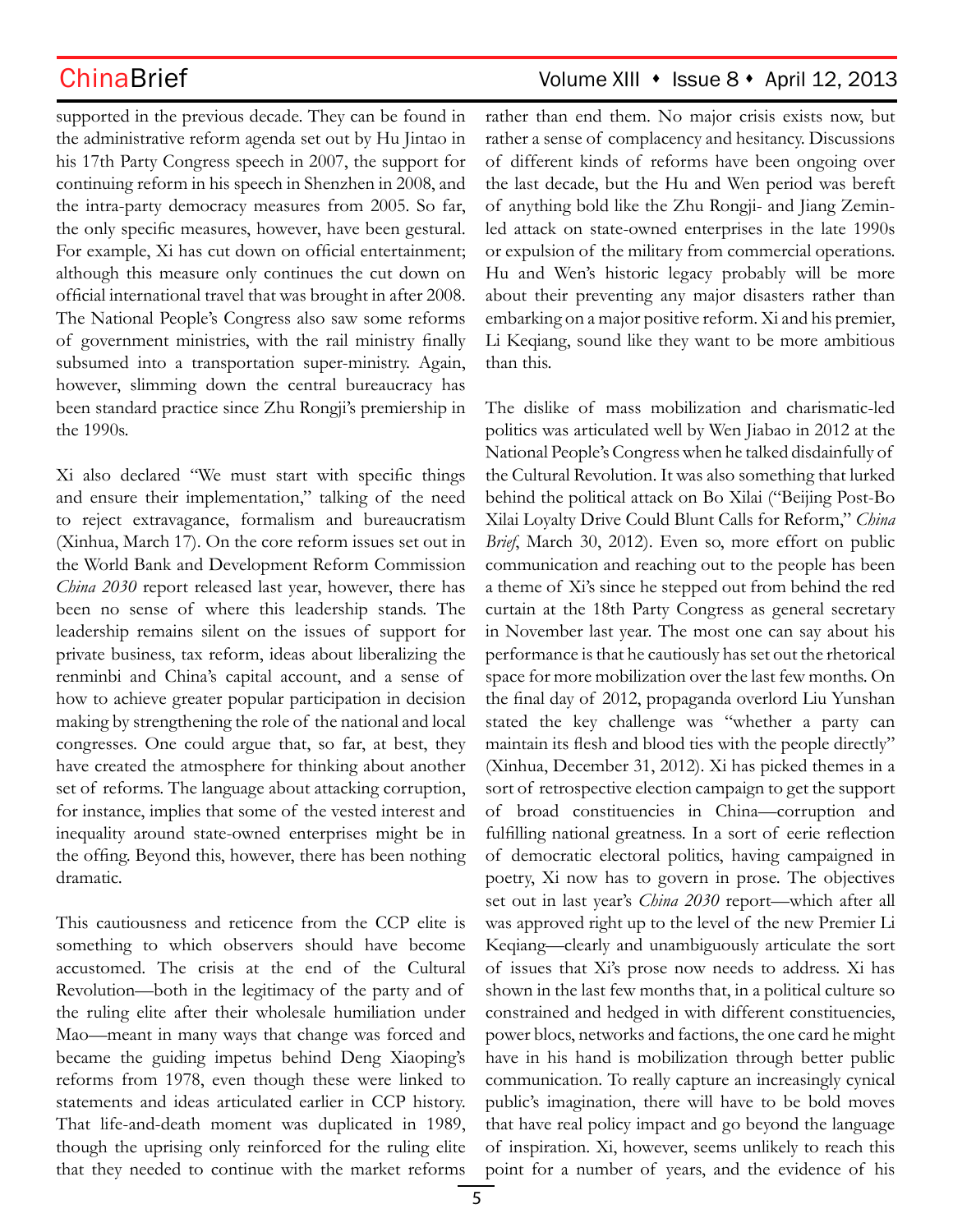supported in the previous decade. They can be found in the administrative reform agenda set out by Hu Jintao in his 17th Party Congress speech in 2007, the support for continuing reform in his speech in Shenzhen in 2008, and the intra-party democracy measures from 2005. So far, the only specific measures, however, have been gestural. For example, Xi has cut down on official entertainment; although this measure only continues the cut down on official international travel that was brought in after 2008. The National People's Congress also saw some reforms of government ministries, with the rail ministry finally subsumed into a transportation super-ministry. Again, however, slimming down the central bureaucracy has been standard practice since Zhu Rongji's premiership in the 1990s.

Xi also declared "We must start with specific things and ensure their implementation," talking of the need to reject extravagance, formalism and bureaucratism (Xinhua, March 17). On the core reform issues set out in the World Bank and Development Reform Commission *China 2030* report released last year, however, there has been no sense of where this leadership stands. The leadership remains silent on the issues of support for private business, tax reform, ideas about liberalizing the renminbi and China's capital account, and a sense of how to achieve greater popular participation in decision making by strengthening the role of the national and local congresses. One could argue that, so far, at best, they have created the atmosphere for thinking about another set of reforms. The language about attacking corruption, for instance, implies that some of the vested interest and inequality around state-owned enterprises might be in the offing. Beyond this, however, there has been nothing dramatic.

This cautiousness and reticence from the CCP elite is something to which observers should have become accustomed. The crisis at the end of the Cultural Revolution—both in the legitimacy of the party and of the ruling elite after their wholesale humiliation under Mao—meant in many ways that change was forced and became the guiding impetus behind Deng Xiaoping's reforms from 1978, even though these were linked to statements and ideas articulated earlier in CCP history. That life-and-death moment was duplicated in 1989, though the uprising only reinforced for the ruling elite that they needed to continue with the market reforms

## ChinaBrief Volume XIII • Issue 8 • April 12, 2013

rather than end them. No major crisis exists now, but rather a sense of complacency and hesitancy. Discussions of different kinds of reforms have been ongoing over the last decade, but the Hu and Wen period was bereft of anything bold like the Zhu Rongji- and Jiang Zeminled attack on state-owned enterprises in the late 1990s or expulsion of the military from commercial operations. Hu and Wen's historic legacy probably will be more about their preventing any major disasters rather than embarking on a major positive reform. Xi and his premier, Li Keqiang, sound like they want to be more ambitious than this.

The dislike of mass mobilization and charismatic-led politics was articulated well by Wen Jiabao in 2012 at the National People's Congress when he talked disdainfully of the Cultural Revolution. It was also something that lurked behind the political attack on Bo Xilai ("Beijing Post-Bo Xilai Loyalty Drive Could Blunt Calls for Reform," *China Brief*, March 30, 2012). Even so, more effort on public communication and reaching out to the people has been a theme of Xi's since he stepped out from behind the red curtain at the 18th Party Congress as general secretary in November last year. The most one can say about his performance is that he cautiously has set out the rhetorical space for more mobilization over the last few months. On the final day of 2012, propaganda overlord Liu Yunshan stated the key challenge was "whether a party can maintain its flesh and blood ties with the people directly" (Xinhua, December 31, 2012). Xi has picked themes in a sort of retrospective election campaign to get the support of broad constituencies in China—corruption and fulfilling national greatness. In a sort of eerie reflection of democratic electoral politics, having campaigned in poetry, Xi now has to govern in prose. The objectives set out in last year's *China 2030* report—which after all was approved right up to the level of the new Premier Li Keqiang—clearly and unambiguously articulate the sort of issues that Xi's prose now needs to address. Xi has shown in the last few months that, in a political culture so constrained and hedged in with different constituencies, power blocs, networks and factions, the one card he might have in his hand is mobilization through better public communication. To really capture an increasingly cynical public's imagination, there will have to be bold moves that have real policy impact and go beyond the language of inspiration. Xi, however, seems unlikely to reach this point for a number of years, and the evidence of his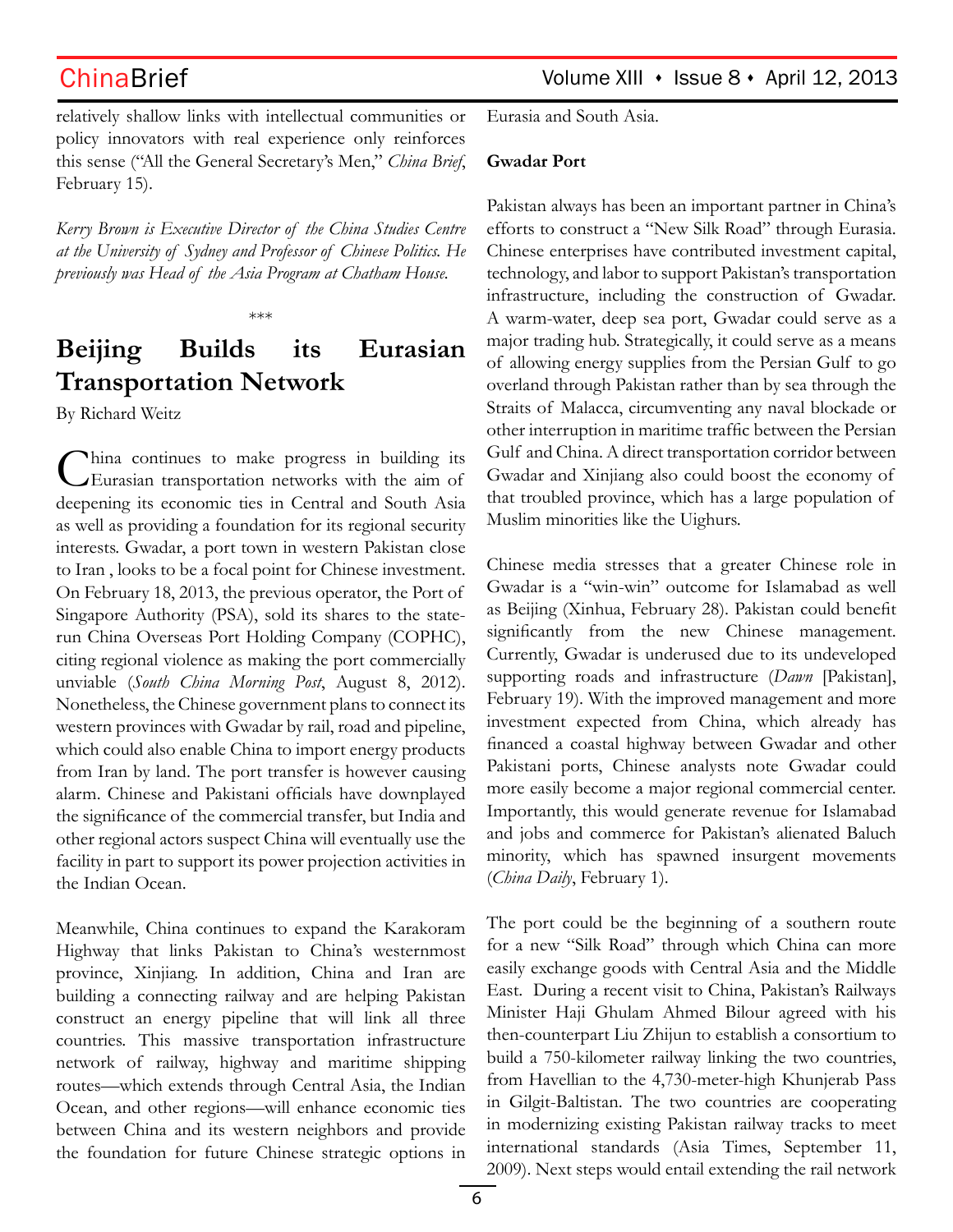relatively shallow links with intellectual communities or policy innovators with real experience only reinforces this sense ("All the General Secretary's Men," *China Brief*, February 15).

*Kerry Brown is Executive Director of the China Studies Centre at the University of Sydney and Professor of Chinese Politics. He previously was Head of the Asia Program at Chatham House.*

\*\*\*

# **Beijing Builds its Eurasian Transportation Network**

By Richard Weitz

China continues to make progress in building its Eurasian transportation networks with the aim of deepening its economic ties in Central and South Asia as well as providing a foundation for its regional security interests. Gwadar, a port town in western Pakistan close to Iran , looks to be a focal point for Chinese investment. On February 18, 2013, the previous operator, the Port of Singapore Authority (PSA), sold its shares to the staterun China Overseas Port Holding Company (COPHC), citing regional violence as making the port commercially unviable (*South China Morning Post*, August 8, 2012). Nonetheless, the Chinese government plans to connect its western provinces with Gwadar by rail, road and pipeline, which could also enable China to import energy products from Iran by land. The port transfer is however causing alarm. Chinese and Pakistani officials have downplayed the significance of the commercial transfer, but India and other regional actors suspect China will eventually use the facility in part to support its power projection activities in the Indian Ocean.

Meanwhile, China continues to expand the Karakoram Highway that links Pakistan to China's westernmost province, Xinjiang. In addition, China and Iran are building a connecting railway and are helping Pakistan construct an energy pipeline that will link all three countries. This massive transportation infrastructure network of railway, highway and maritime shipping routes—which extends through Central Asia, the Indian Ocean, and other regions—will enhance economic ties between China and its western neighbors and provide the foundation for future Chinese strategic options in Eurasia and South Asia.

### **Gwadar Port**

Pakistan always has been an important partner in China's efforts to construct a "New Silk Road" through Eurasia. Chinese enterprises have contributed investment capital, technology, and labor to support Pakistan's transportation infrastructure, including the construction of Gwadar. A warm-water, deep sea port, Gwadar could serve as a major trading hub. Strategically, it could serve as a means of allowing energy supplies from the Persian Gulf to go overland through Pakistan rather than by sea through the Straits of Malacca, circumventing any naval blockade or other interruption in maritime traffic between the Persian Gulf and China. A direct transportation corridor between Gwadar and Xinjiang also could boost the economy of that troubled province, which has a large population of Muslim minorities like the Uighurs.

Chinese media stresses that a greater Chinese role in Gwadar is a "win-win" outcome for Islamabad as well as Beijing (Xinhua, February 28). Pakistan could benefit significantly from the new Chinese management. Currently, Gwadar is underused due to its undeveloped supporting roads and infrastructure (*Dawn* [Pakistan], February 19). With the improved management and more investment expected from China, which already has financed a coastal highway between Gwadar and other Pakistani ports, Chinese analysts note Gwadar could more easily become a major regional commercial center. Importantly, this would generate revenue for Islamabad and jobs and commerce for Pakistan's alienated Baluch minority, which has spawned insurgent movements (*China Daily*, February 1).

The port could be the beginning of a southern route for a new "Silk Road" through which China can more easily exchange goods with Central Asia and the Middle East. During a recent visit to China, Pakistan's Railways Minister Haji Ghulam Ahmed Bilour agreed with his then-counterpart Liu Zhijun to establish a consortium to build a 750-kilometer railway linking the two countries, from Havellian to the 4,730-meter-high Khunjerab Pass in Gilgit-Baltistan. The two countries are cooperating in modernizing existing Pakistan railway tracks to meet international standards (Asia Times, September 11, 2009). Next steps would entail extending the rail network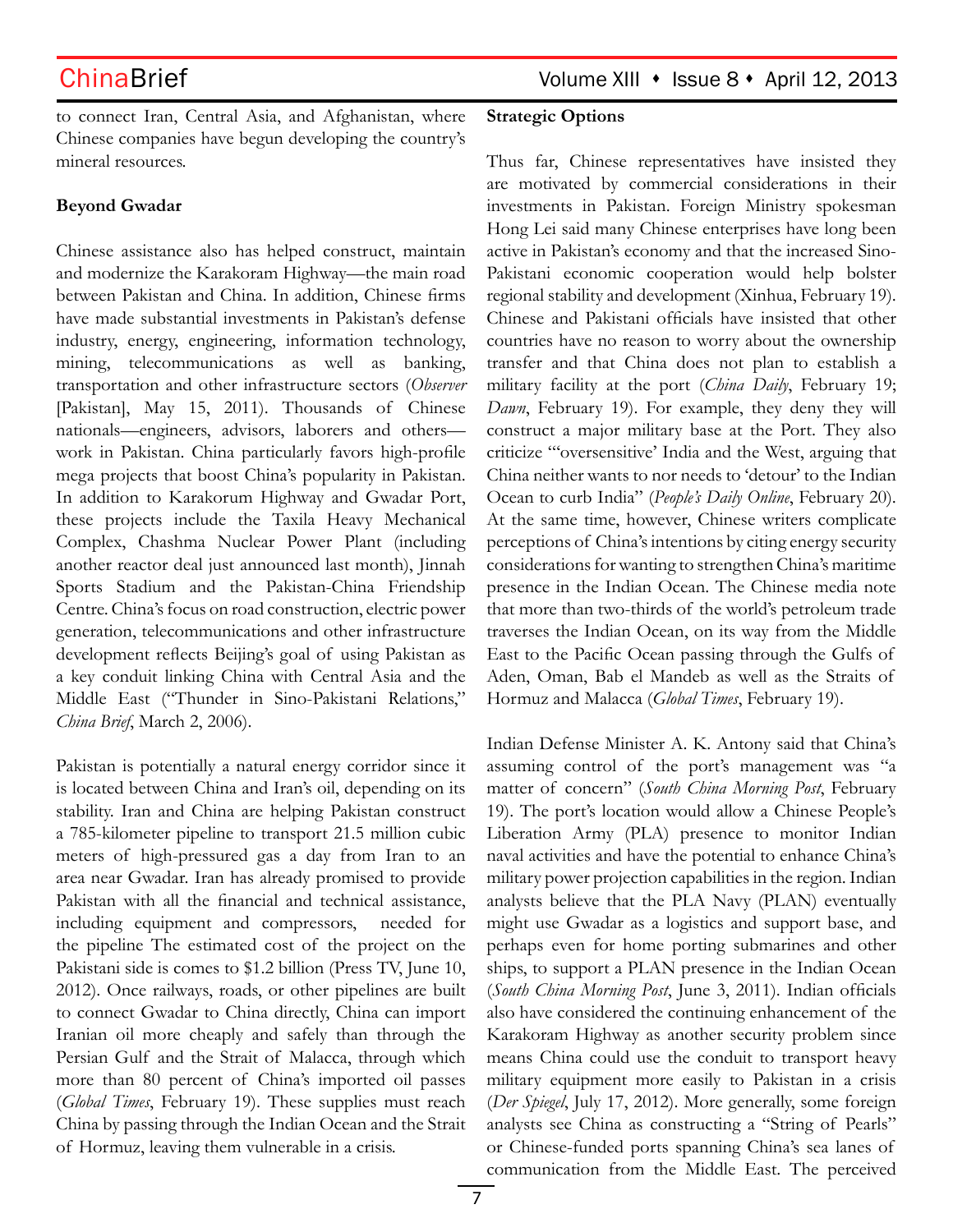to connect Iran, Central Asia, and Afghanistan, where Chinese companies have begun developing the country's mineral resources.

## **Beyond Gwadar**

Chinese assistance also has helped construct, maintain and modernize the Karakoram Highway—the main road between Pakistan and China. In addition, Chinese firms have made substantial investments in Pakistan's defense industry, energy, engineering, information technology, mining, telecommunications as well as banking, transportation and other infrastructure sectors (*Observer* [Pakistan], May 15, 2011). Thousands of Chinese nationals—engineers, advisors, laborers and others work in Pakistan. China particularly favors high-profile mega projects that boost China's popularity in Pakistan. In addition to Karakorum Highway and Gwadar Port, these projects include the Taxila Heavy Mechanical Complex, Chashma Nuclear Power Plant (including another reactor deal just announced last month), Jinnah Sports Stadium and the Pakistan-China Friendship Centre. China's focus on road construction, electric power generation, telecommunications and other infrastructure development reflects Beijing's goal of using Pakistan as a key conduit linking China with Central Asia and the Middle East ("Thunder in Sino-Pakistani Relations," *China Brief*, March 2, 2006).

Pakistan is potentially a natural energy corridor since it is located between China and Iran's oil, depending on its stability. Iran and China are helping Pakistan construct a 785-kilometer pipeline to transport 21.5 million cubic meters of high-pressured gas a day from Iran to an area near Gwadar. Iran has already promised to provide Pakistan with all the financial and technical assistance, including equipment and compressors, needed for the pipeline The estimated cost of the project on the Pakistani side is comes to \$1.2 billion (Press TV, June 10, 2012). Once railways, roads, or other pipelines are built to connect Gwadar to China directly, China can import Iranian oil more cheaply and safely than through the Persian Gulf and the Strait of Malacca, through which more than 80 percent of China's imported oil passes (*Global Times*, February 19). These supplies must reach China by passing through the Indian Ocean and the Strait of Hormuz, leaving them vulnerable in a crisis.

### **Strategic Options**

Thus far, Chinese representatives have insisted they are motivated by commercial considerations in their investments in Pakistan. Foreign Ministry spokesman Hong Lei said many Chinese enterprises have long been active in Pakistan's economy and that the increased Sino-Pakistani economic cooperation would help bolster regional stability and development (Xinhua, February 19). Chinese and Pakistani officials have insisted that other countries have no reason to worry about the ownership transfer and that China does not plan to establish a military facility at the port (*China Daily*, February 19; *Dawn*, February 19). For example, they deny they will construct a major military base at the Port. They also criticize "'oversensitive' India and the West, arguing that China neither wants to nor needs to 'detour' to the Indian Ocean to curb India" (*People's Daily Online*, February 20). At the same time, however, Chinese writers complicate perceptions of China's intentions by citing energy security considerations for wanting to strengthen China's maritime presence in the Indian Ocean. The Chinese media note that more than two-thirds of the world's petroleum trade traverses the Indian Ocean, on its way from the Middle East to the Pacific Ocean passing through the Gulfs of Aden, Oman, Bab el Mandeb as well as the Straits of Hormuz and Malacca (*Global Times*, February 19).

Indian Defense Minister A. K. Antony said that China's assuming control of the port's management was "a matter of concern" (*South China Morning Post*, February 19). The port's location would allow a Chinese People's Liberation Army (PLA) presence to monitor Indian naval activities and have the potential to enhance China's military power projection capabilities in the region. Indian analysts believe that the PLA Navy (PLAN) eventually might use Gwadar as a logistics and support base, and perhaps even for home porting submarines and other ships, to support a PLAN presence in the Indian Ocean (*South China Morning Post*, June 3, 2011). Indian officials also have considered the continuing enhancement of the Karakoram Highway as another security problem since means China could use the conduit to transport heavy military equipment more easily to Pakistan in a crisis (*Der Spiegel*, July 17, 2012). More generally, some foreign analysts see China as constructing a "String of Pearls" or Chinese-funded ports spanning China's sea lanes of communication from the Middle East. The perceived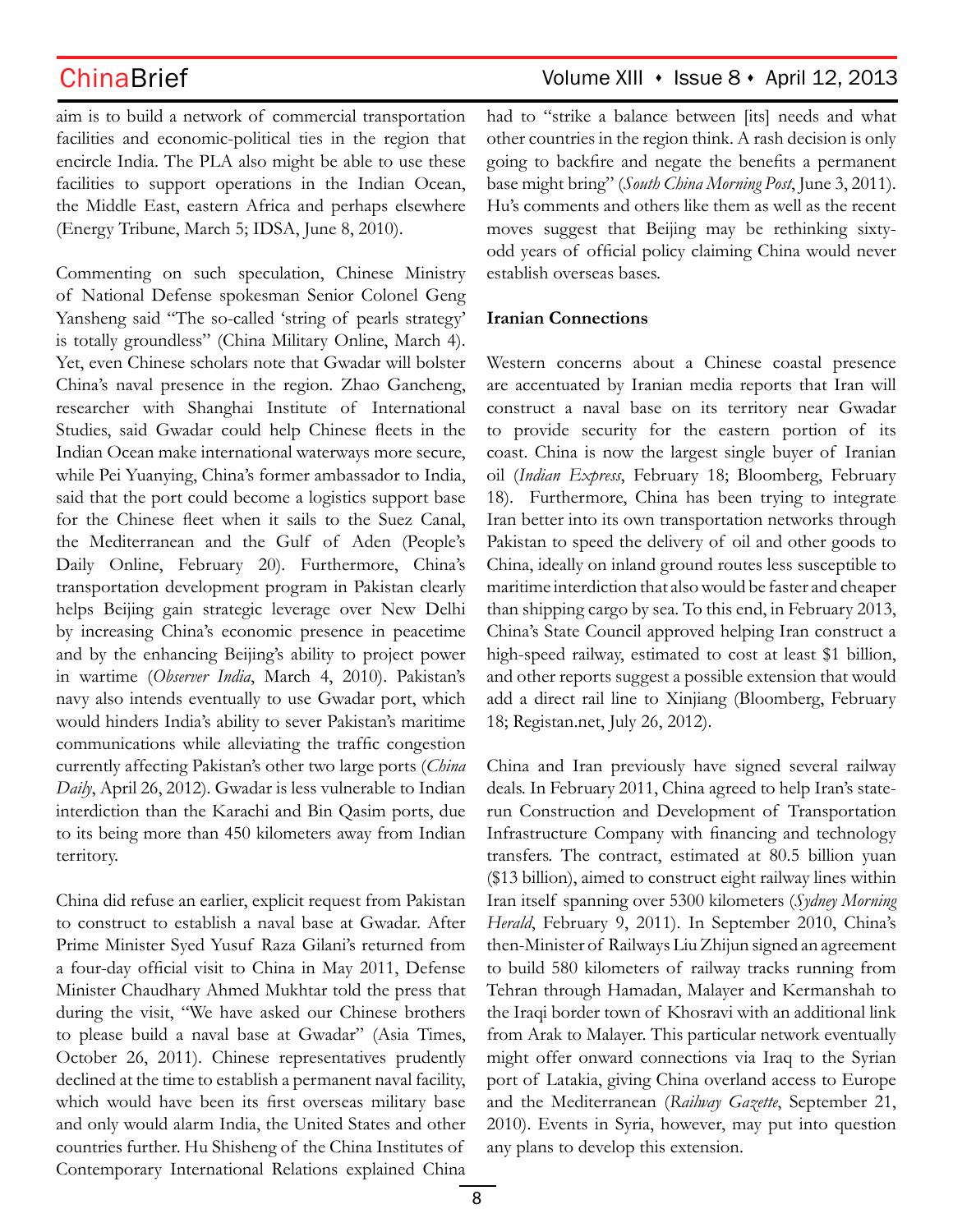aim is to build a network of commercial transportation facilities and economic-political ties in the region that encircle India. The PLA also might be able to use these facilities to support operations in the Indian Ocean, the Middle East, eastern Africa and perhaps elsewhere (Energy Tribune, March 5; IDSA, June 8, 2010).

Commenting on such speculation, Chinese Ministry of National Defense spokesman Senior Colonel Geng Yansheng said "The so-called 'string of pearls strategy' is totally groundless" (China Military Online, March 4). Yet, even Chinese scholars note that Gwadar will bolster China's naval presence in the region. Zhao Gancheng, researcher with Shanghai Institute of International Studies, said Gwadar could help Chinese fleets in the Indian Ocean make international waterways more secure, while Pei Yuanying, China's former ambassador to India, said that the port could become a logistics support base for the Chinese fleet when it sails to the Suez Canal, the Mediterranean and the Gulf of Aden (People's Daily Online, February 20). Furthermore, China's transportation development program in Pakistan clearly helps Beijing gain strategic leverage over New Delhi by increasing China's economic presence in peacetime and by the enhancing Beijing's ability to project power in wartime (*Observer India*, March 4, 2010). Pakistan's navy also intends eventually to use Gwadar port, which would hinders India's ability to sever Pakistan's maritime communications while alleviating the traffic congestion currently affecting Pakistan's other two large ports (*China Daily*, April 26, 2012). Gwadar is less vulnerable to Indian interdiction than the Karachi and Bin Qasim ports, due to its being more than 450 kilometers away from Indian territory.

China did refuse an earlier, explicit request from Pakistan to construct to establish a naval base at Gwadar. After Prime Minister Syed Yusuf Raza Gilani's returned from a four-day official visit to China in May 2011, Defense Minister Chaudhary Ahmed Mukhtar told the press that during the visit, "We have asked our Chinese brothers to please build a naval base at Gwadar" (Asia Times, October 26, 2011). Chinese representatives prudently declined at the time to establish a permanent naval facility, which would have been its first overseas military base and only would alarm India, the United States and other countries further. Hu Shisheng of the China Institutes of Contemporary International Relations explained China

# ChinaBrief Volume XIII • Issue 8 • April 12, 2013

had to "strike a balance between [its] needs and what other countries in the region think. A rash decision is only going to backfire and negate the benefits a permanent base might bring" (*South China Morning Post*, June 3, 2011). Hu's comments and others like them as well as the recent moves suggest that Beijing may be rethinking sixtyodd years of official policy claiming China would never establish overseas bases.

### **Iranian Connections**

Western concerns about a Chinese coastal presence are accentuated by Iranian media reports that Iran will construct a naval base on its territory near Gwadar to provide security for the eastern portion of its coast. China is now the largest single buyer of Iranian oil (*Indian Express*, February 18; Bloomberg, February 18). Furthermore, China has been trying to integrate Iran better into its own transportation networks through Pakistan to speed the delivery of oil and other goods to China, ideally on inland ground routes less susceptible to maritime interdiction that also would be faster and cheaper than shipping cargo by sea. To this end, in February 2013, China's State Council approved helping Iran construct a high-speed railway, estimated to cost at least \$1 billion, and other reports suggest a possible extension that would add a direct rail line to Xinjiang (Bloomberg, February 18; Registan.net, July 26, 2012).

China and Iran previously have signed several railway deals. In February 2011, China agreed to help Iran's staterun Construction and Development of Transportation Infrastructure Company with financing and technology transfers. The contract, estimated at 80.5 billion yuan (\$13 billion), aimed to construct eight railway lines within Iran itself spanning over 5300 kilometers (*Sydney Morning Herald*, February 9, 2011). In September 2010, China's then-Minister of Railways Liu Zhijun signed an agreement to build 580 kilometers of railway tracks running from Tehran through Hamadan, Malayer and Kermanshah to the Iraqi border town of Khosravi with an additional link from Arak to Malayer. This particular network eventually might offer onward connections via Iraq to the Syrian port of Latakia, giving China overland access to Europe and the Mediterranean (*Railway Gazette*, September 21, 2010). Events in Syria, however, may put into question any plans to develop this extension.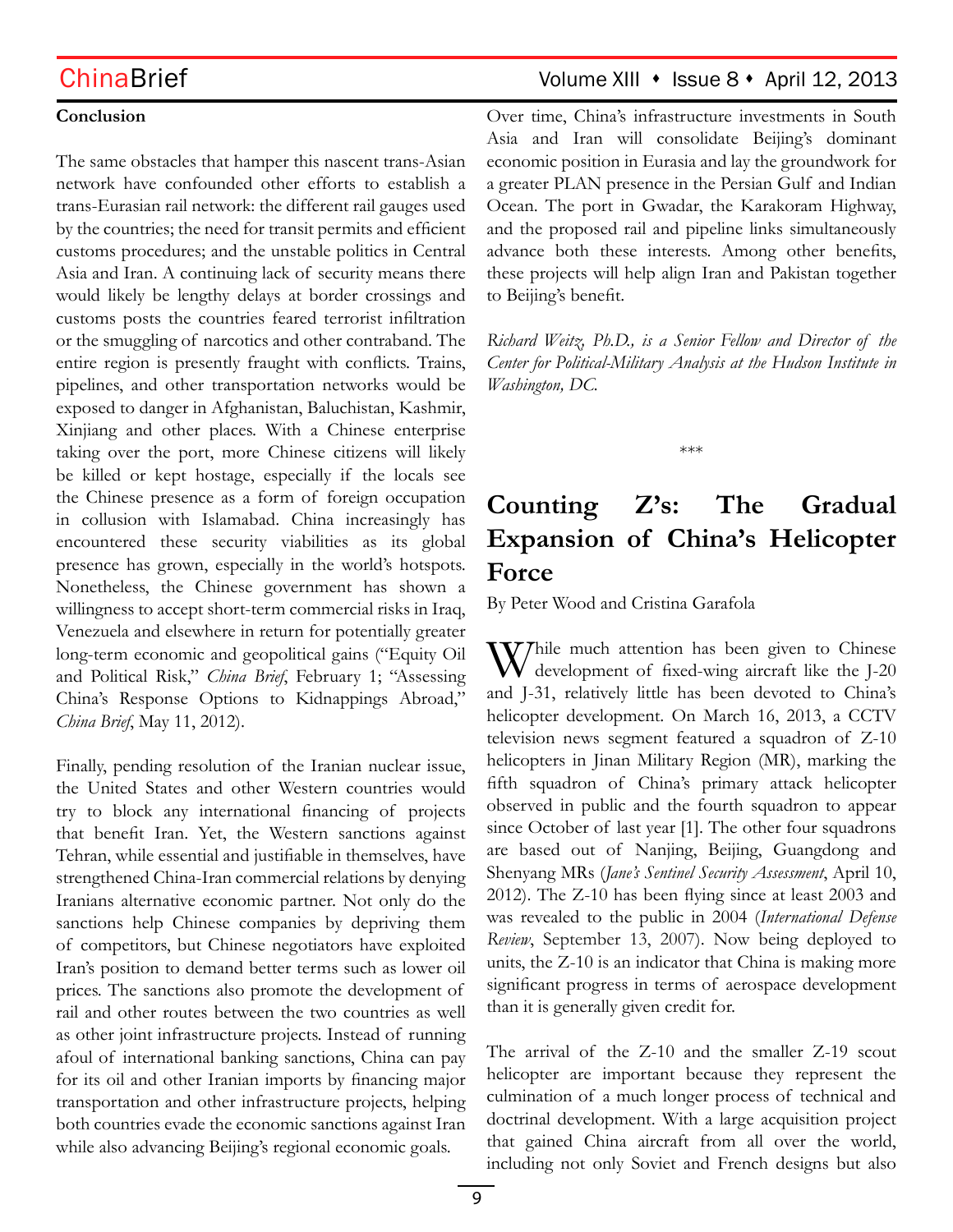## **Conclusion**

The same obstacles that hamper this nascent trans-Asian network have confounded other efforts to establish a trans-Eurasian rail network: the different rail gauges used by the countries; the need for transit permits and efficient customs procedures; and the unstable politics in Central Asia and Iran. A continuing lack of security means there would likely be lengthy delays at border crossings and customs posts the countries feared terrorist infiltration or the smuggling of narcotics and other contraband. The entire region is presently fraught with conflicts. Trains, pipelines, and other transportation networks would be exposed to danger in Afghanistan, Baluchistan, Kashmir, Xinjiang and other places. With a Chinese enterprise taking over the port, more Chinese citizens will likely be killed or kept hostage, especially if the locals see the Chinese presence as a form of foreign occupation in collusion with Islamabad. China increasingly has encountered these security viabilities as its global presence has grown, especially in the world's hotspots. Nonetheless, the Chinese government has shown a willingness to accept short-term commercial risks in Iraq, Venezuela and elsewhere in return for potentially greater long-term economic and geopolitical gains ("Equity Oil and Political Risk," *China Brief*, February 1; "Assessing China's Response Options to Kidnappings Abroad," *China Brief*, May 11, 2012).

Finally, pending resolution of the Iranian nuclear issue, the United States and other Western countries would try to block any international financing of projects that benefit Iran. Yet, the Western sanctions against Tehran, while essential and justifiable in themselves, have strengthened China-Iran commercial relations by denying Iranians alternative economic partner. Not only do the sanctions help Chinese companies by depriving them of competitors, but Chinese negotiators have exploited Iran's position to demand better terms such as lower oil prices. The sanctions also promote the development of rail and other routes between the two countries as well as other joint infrastructure projects. Instead of running afoul of international banking sanctions, China can pay for its oil and other Iranian imports by financing major transportation and other infrastructure projects, helping both countries evade the economic sanctions against Iran while also advancing Beijing's regional economic goals.

## ChinaBrief Volume XIII • Issue 8 • April 12, 2013

Over time, China's infrastructure investments in South Asia and Iran will consolidate Beijing's dominant economic position in Eurasia and lay the groundwork for a greater PLAN presence in the Persian Gulf and Indian Ocean. The port in Gwadar, the Karakoram Highway, and the proposed rail and pipeline links simultaneously advance both these interests. Among other benefits, these projects will help align Iran and Pakistan together to Beijing's benefit.

*Richard Weitz, Ph.D., is a Senior Fellow and Director of the Center for Political-Military Analysis at the Hudson Institute in Washington, DC.*

\*\*\*

# **Counting Z's: The Gradual Expansion of China's Helicopter Force**

By Peter Wood and Cristina Garafola

 $\mathbf{V}$ Thile much attention has been given to Chinese development of fixed-wing aircraft like the J-20 and J-31, relatively little has been devoted to China's helicopter development. On March 16, 2013, a CCTV television news segment featured a squadron of Z-10 helicopters in Jinan Military Region (MR), marking the fifth squadron of China's primary attack helicopter observed in public and the fourth squadron to appear since October of last year [1]. The other four squadrons are based out of Nanjing, Beijing, Guangdong and Shenyang MRs (*Jane's Sentinel Security Assessment*, April 10, 2012). The Z-10 has been flying since at least 2003 and was revealed to the public in 2004 (*International Defense Review*, September 13, 2007). Now being deployed to units, the Z-10 is an indicator that China is making more significant progress in terms of aerospace development than it is generally given credit for.

The arrival of the Z-10 and the smaller Z-19 scout helicopter are important because they represent the culmination of a much longer process of technical and doctrinal development. With a large acquisition project that gained China aircraft from all over the world, including not only Soviet and French designs but also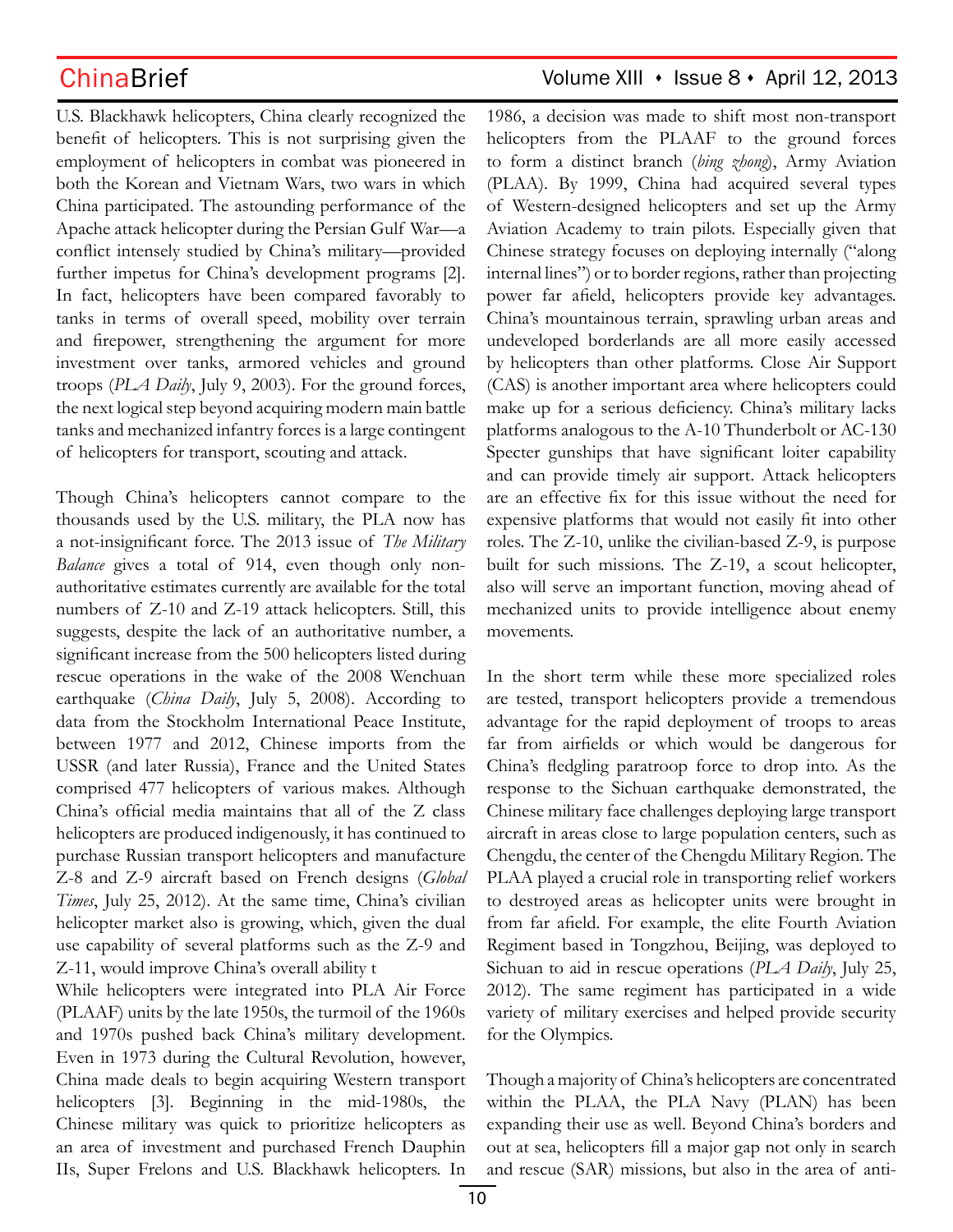U.S. Blackhawk helicopters, China clearly recognized the benefit of helicopters. This is not surprising given the employment of helicopters in combat was pioneered in both the Korean and Vietnam Wars, two wars in which China participated. The astounding performance of the Apache attack helicopter during the Persian Gulf War—a conflict intensely studied by China's military—provided further impetus for China's development programs [2]. In fact, helicopters have been compared favorably to tanks in terms of overall speed, mobility over terrain and firepower, strengthening the argument for more investment over tanks, armored vehicles and ground troops (*PLA Daily*, July 9, 2003). For the ground forces, the next logical step beyond acquiring modern main battle tanks and mechanized infantry forces is a large contingent of helicopters for transport, scouting and attack.

Though China's helicopters cannot compare to the thousands used by the U.S. military, the PLA now has a not-insignificant force. The 2013 issue of *The Military Balance* gives a total of 914, even though only nonauthoritative estimates currently are available for the total numbers of Z-10 and Z-19 attack helicopters. Still, this suggests, despite the lack of an authoritative number, a significant increase from the 500 helicopters listed during rescue operations in the wake of the 2008 Wenchuan earthquake (*China Daily*, July 5, 2008). According to data from the Stockholm International Peace Institute, between 1977 and 2012, Chinese imports from the USSR (and later Russia), France and the United States comprised 477 helicopters of various makes. Although China's official media maintains that all of the Z class helicopters are produced indigenously, it has continued to purchase Russian transport helicopters and manufacture Z-8 and Z-9 aircraft based on French designs (*Global Times*, July 25, 2012). At the same time, China's civilian helicopter market also is growing, which, given the dual use capability of several platforms such as the Z-9 and Z-11, would improve China's overall ability t

While helicopters were integrated into PLA Air Force (PLAAF) units by the late 1950s, the turmoil of the 1960s and 1970s pushed back China's military development. Even in 1973 during the Cultural Revolution, however, China made deals to begin acquiring Western transport helicopters [3]. Beginning in the mid-1980s, the Chinese military was quick to prioritize helicopters as an area of investment and purchased French Dauphin IIs, Super Frelons and U.S. Blackhawk helicopters. In

## ChinaBrief Volume XIII · Issue 8 · April 12, 2013

1986, a decision was made to shift most non-transport helicopters from the PLAAF to the ground forces to form a distinct branch (*bing zhong*), Army Aviation (PLAA). By 1999, China had acquired several types of Western-designed helicopters and set up the Army Aviation Academy to train pilots. Especially given that Chinese strategy focuses on deploying internally ("along internal lines") or to border regions, rather than projecting power far afield, helicopters provide key advantages. China's mountainous terrain, sprawling urban areas and undeveloped borderlands are all more easily accessed by helicopters than other platforms. Close Air Support (CAS) is another important area where helicopters could make up for a serious deficiency. China's military lacks platforms analogous to the A-10 Thunderbolt or AC-130 Specter gunships that have significant loiter capability and can provide timely air support. Attack helicopters are an effective fix for this issue without the need for expensive platforms that would not easily fit into other roles. The Z-10, unlike the civilian-based Z-9, is purpose built for such missions. The Z-19, a scout helicopter, also will serve an important function, moving ahead of mechanized units to provide intelligence about enemy movements.

In the short term while these more specialized roles are tested, transport helicopters provide a tremendous advantage for the rapid deployment of troops to areas far from airfields or which would be dangerous for China's fledgling paratroop force to drop into. As the response to the Sichuan earthquake demonstrated, the Chinese military face challenges deploying large transport aircraft in areas close to large population centers, such as Chengdu, the center of the Chengdu Military Region. The PLAA played a crucial role in transporting relief workers to destroyed areas as helicopter units were brought in from far afield. For example, the elite Fourth Aviation Regiment based in Tongzhou, Beijing, was deployed to Sichuan to aid in rescue operations (*PLA Daily*, July 25, 2012). The same regiment has participated in a wide variety of military exercises and helped provide security for the Olympics.

Though a majority of China's helicopters are concentrated within the PLAA, the PLA Navy (PLAN) has been expanding their use as well. Beyond China's borders and out at sea, helicopters fill a major gap not only in search and rescue (SAR) missions, but also in the area of anti-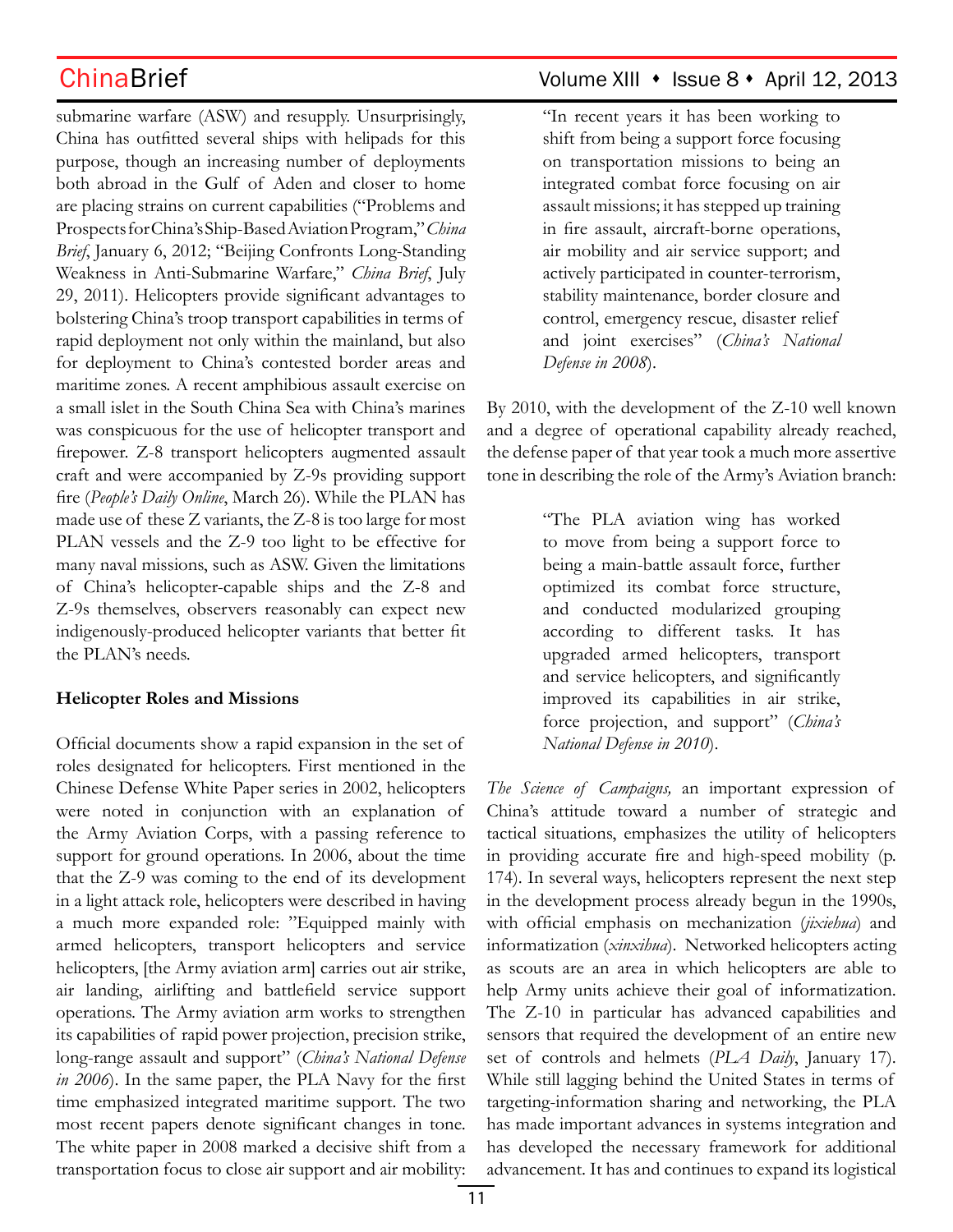submarine warfare (ASW) and resupply. Unsurprisingly, China has outfitted several ships with helipads for this purpose, though an increasing number of deployments both abroad in the Gulf of Aden and closer to home are placing strains on current capabilities ("Problems and Prospects for China's Ship-Based Aviation Program," *China Brief*, January 6, 2012; "Beijing Confronts Long-Standing Weakness in Anti-Submarine Warfare," *China Brief*, July 29, 2011). Helicopters provide significant advantages to bolstering China's troop transport capabilities in terms of rapid deployment not only within the mainland, but also for deployment to China's contested border areas and maritime zones. A recent amphibious assault exercise on a small islet in the South China Sea with China's marines was conspicuous for the use of helicopter transport and firepower. Z-8 transport helicopters augmented assault craft and were accompanied by Z-9s providing support fire (*People's Daily Online*, March 26). While the PLAN has made use of these Z variants, the Z-8 is too large for most PLAN vessels and the Z-9 too light to be effective for many naval missions, such as ASW. Given the limitations of China's helicopter-capable ships and the Z-8 and Z-9s themselves, observers reasonably can expect new indigenously-produced helicopter variants that better fit the PLAN's needs.

### **Helicopter Roles and Missions**

Official documents show a rapid expansion in the set of roles designated for helicopters. First mentioned in the Chinese Defense White Paper series in 2002, helicopters were noted in conjunction with an explanation of the Army Aviation Corps, with a passing reference to support for ground operations. In 2006, about the time that the Z-9 was coming to the end of its development in a light attack role, helicopters were described in having a much more expanded role: "Equipped mainly with armed helicopters, transport helicopters and service helicopters, [the Army aviation arm] carries out air strike, air landing, airlifting and battlefield service support operations. The Army aviation arm works to strengthen its capabilities of rapid power projection, precision strike, long-range assault and support" (*China's National Defense in 2006*). In the same paper, the PLA Navy for the first time emphasized integrated maritime support. The two most recent papers denote significant changes in tone. The white paper in 2008 marked a decisive shift from a transportation focus to close air support and air mobility:

## ChinaBrief Volume XIII • Issue 8 • April 12, 2013

"In recent years it has been working to shift from being a support force focusing on transportation missions to being an integrated combat force focusing on air assault missions; it has stepped up training in fire assault, aircraft-borne operations, air mobility and air service support; and actively participated in counter-terrorism, stability maintenance, border closure and control, emergency rescue, disaster relief and joint exercises" (*China's National Defense in 2008*).

By 2010, with the development of the Z-10 well known and a degree of operational capability already reached, the defense paper of that year took a much more assertive tone in describing the role of the Army's Aviation branch:

> "The PLA aviation wing has worked to move from being a support force to being a main-battle assault force, further optimized its combat force structure, and conducted modularized grouping according to different tasks. It has upgraded armed helicopters, transport and service helicopters, and significantly improved its capabilities in air strike, force projection, and support" (*China's National Defense in 2010*).

*The Science of Campaigns,* an important expression of China's attitude toward a number of strategic and tactical situations, emphasizes the utility of helicopters in providing accurate fire and high-speed mobility (p. 174). In several ways, helicopters represent the next step in the development process already begun in the 1990s, with official emphasis on mechanization (*jixiehua*) and informatization (*xinxihua*). Networked helicopters acting as scouts are an area in which helicopters are able to help Army units achieve their goal of informatization. The Z-10 in particular has advanced capabilities and sensors that required the development of an entire new set of controls and helmets (*PLA Daily*, January 17). While still lagging behind the United States in terms of targeting-information sharing and networking, the PLA has made important advances in systems integration and has developed the necessary framework for additional advancement. It has and continues to expand its logistical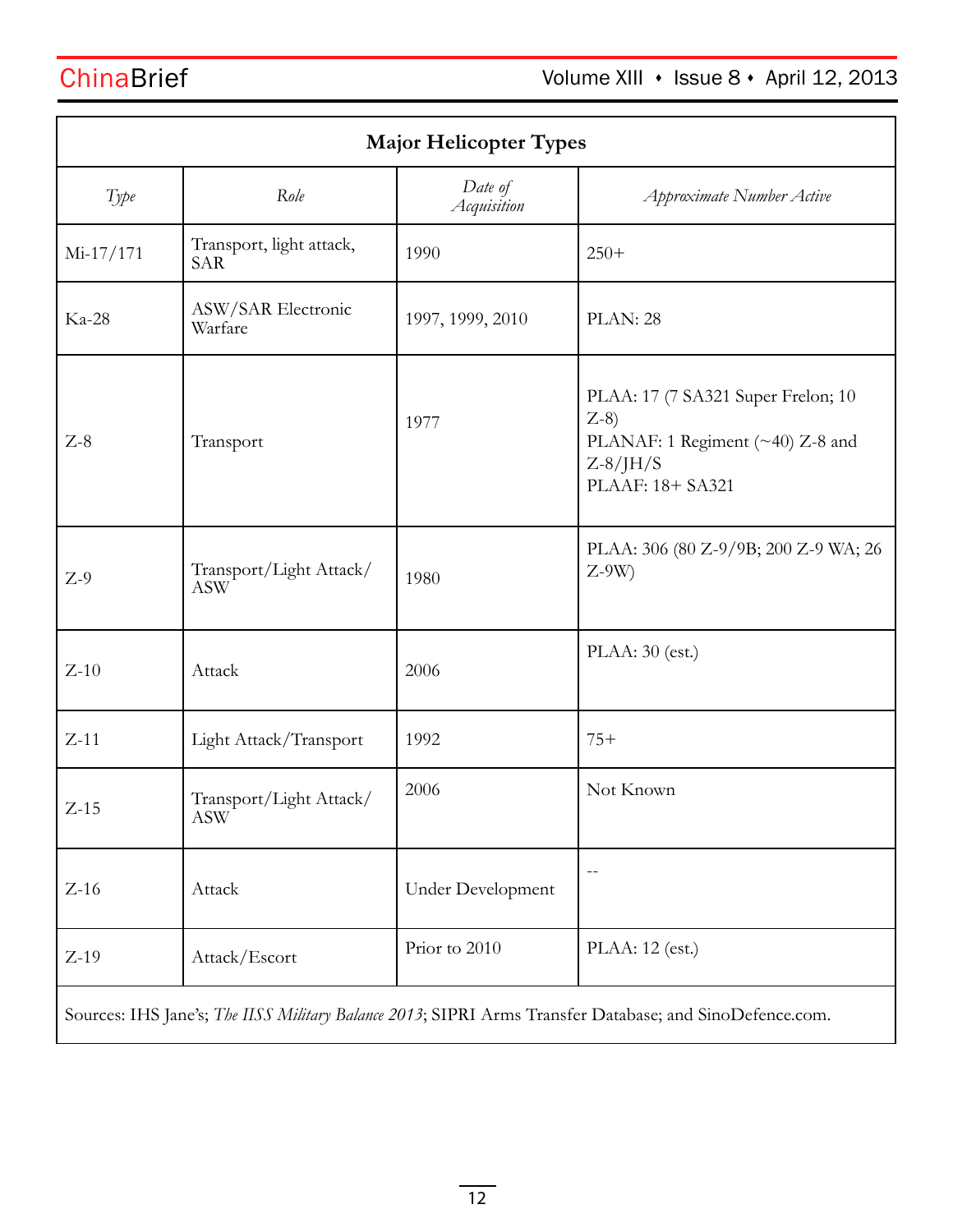| <b>Major Helicopter Types</b>                                                                           |                                        |                        |                                                                                                                       |  |
|---------------------------------------------------------------------------------------------------------|----------------------------------------|------------------------|-----------------------------------------------------------------------------------------------------------------------|--|
| Type                                                                                                    | Role                                   | Date of<br>Acquisition | Approximate Number Active                                                                                             |  |
| $Mi-17/171$                                                                                             | Transport, light attack,<br><b>SAR</b> | 1990                   | $250+$                                                                                                                |  |
| Ka-28                                                                                                   | ASW/SAR Electronic<br>Warfare          | 1997, 1999, 2010       | PLAN: 28                                                                                                              |  |
| $Z-8$                                                                                                   | Transport                              | 1977                   | PLAA: 17 (7 SA321 Super Frelon; 10<br>$Z-8$<br>PLANAF: 1 Regiment (~40) Z-8 and<br>$Z-8/$ J $H/S$<br>PLAAF: 18+ SA321 |  |
| $Z-9$                                                                                                   | Transport/Light Attack/<br><b>ASW</b>  | 1980                   | PLAA: 306 (80 Z-9/9B; 200 Z-9 WA; 26<br>$Z-9W$                                                                        |  |
| $Z-10$                                                                                                  | Attack                                 | 2006                   | $PLAA: 30$ (est.)                                                                                                     |  |
| $Z-11$                                                                                                  | Light Attack/Transport                 | 1992                   | $75+$                                                                                                                 |  |
| $Z-15$                                                                                                  | Transport/Light Attack/<br>ASW         | 2006                   | Not Known                                                                                                             |  |
| $Z-16$                                                                                                  | Attack                                 | Under Development      |                                                                                                                       |  |
| $Z-19$                                                                                                  | Attack/Escort                          | Prior to 2010          | PLAA: 12 (est.)                                                                                                       |  |
| Sources: IHS Jane's; The IISS Military Balance 2013; SIPRI Arms Transfer Database; and SinoDefence.com. |                                        |                        |                                                                                                                       |  |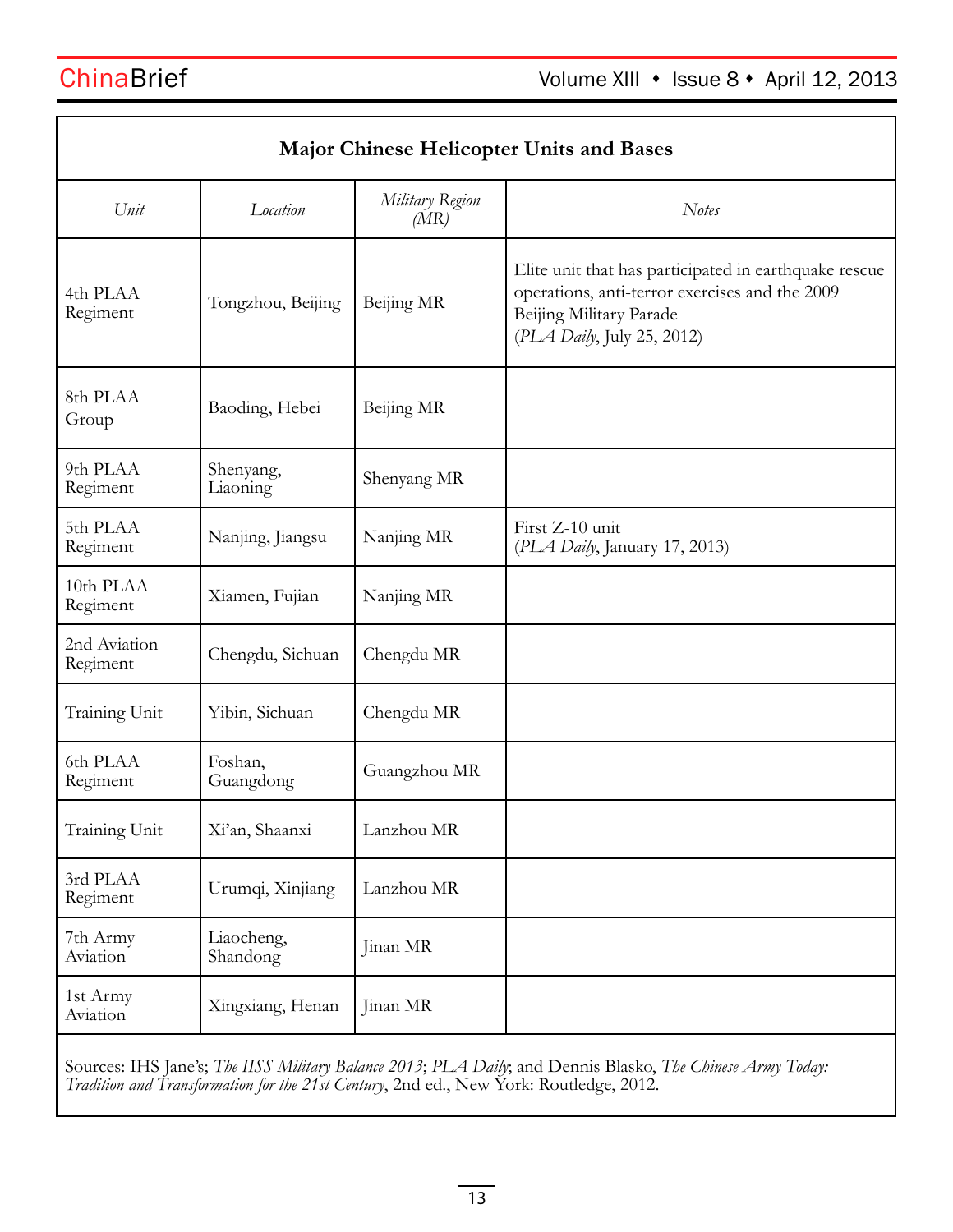| <b>Major Chinese Helicopter Units and Bases</b> |                        |                         |                                                                                                                                                                  |  |  |
|-------------------------------------------------|------------------------|-------------------------|------------------------------------------------------------------------------------------------------------------------------------------------------------------|--|--|
| Unit                                            | Location               | Military Region<br>(MR) | <b>Notes</b>                                                                                                                                                     |  |  |
| 4th PLAA<br>Regiment                            | Tongzhou, Beijing      | Beijing MR              | Elite unit that has participated in earthquake rescue<br>operations, anti-terror exercises and the 2009<br>Beijing Military Parade<br>(PLA Daily, July 25, 2012) |  |  |
| 8th PLAA<br>Group                               | Baoding, Hebei         | Beijing MR              |                                                                                                                                                                  |  |  |
| 9th PLAA<br>Regiment                            | Shenyang,<br>Liaoning  | Shenyang MR             |                                                                                                                                                                  |  |  |
| 5th PLAA<br>Regiment                            | Nanjing, Jiangsu       | Nanjing MR              | First Z-10 unit<br>(PLA Daily, January 17, 2013)                                                                                                                 |  |  |
| 10th PLAA<br>Regiment                           | Xiamen, Fujian         | Nanjing MR              |                                                                                                                                                                  |  |  |
| 2nd Aviation<br>Regiment                        | Chengdu, Sichuan       | Chengdu MR              |                                                                                                                                                                  |  |  |
| Training Unit                                   | Yibin, Sichuan         | Chengdu MR              |                                                                                                                                                                  |  |  |
| 6th PLAA<br>Regiment                            | Foshan,<br>Guangdong   | Guangzhou MR            |                                                                                                                                                                  |  |  |
| Training Unit                                   | Xi'an, Shaanxi         | Lanzhou MR              |                                                                                                                                                                  |  |  |
| 3rd PLAA<br>Regiment                            | Urumqi, Xinjiang       | Lanzhou MR              |                                                                                                                                                                  |  |  |
| 7th Army<br>Aviation                            | Liaocheng,<br>Shandong | Jinan MR                |                                                                                                                                                                  |  |  |
| 1st Army<br>Aviation                            | Xingxiang, Henan       | Jinan MR                |                                                                                                                                                                  |  |  |

Sources: IHS Jane's; *The IISS Military Balance 2013*; *PLA Daily*; and Dennis Blasko, *The Chinese Army Today: Tradition and Transformation for the 21st Century*, 2nd ed., New York: Routledge, 2012.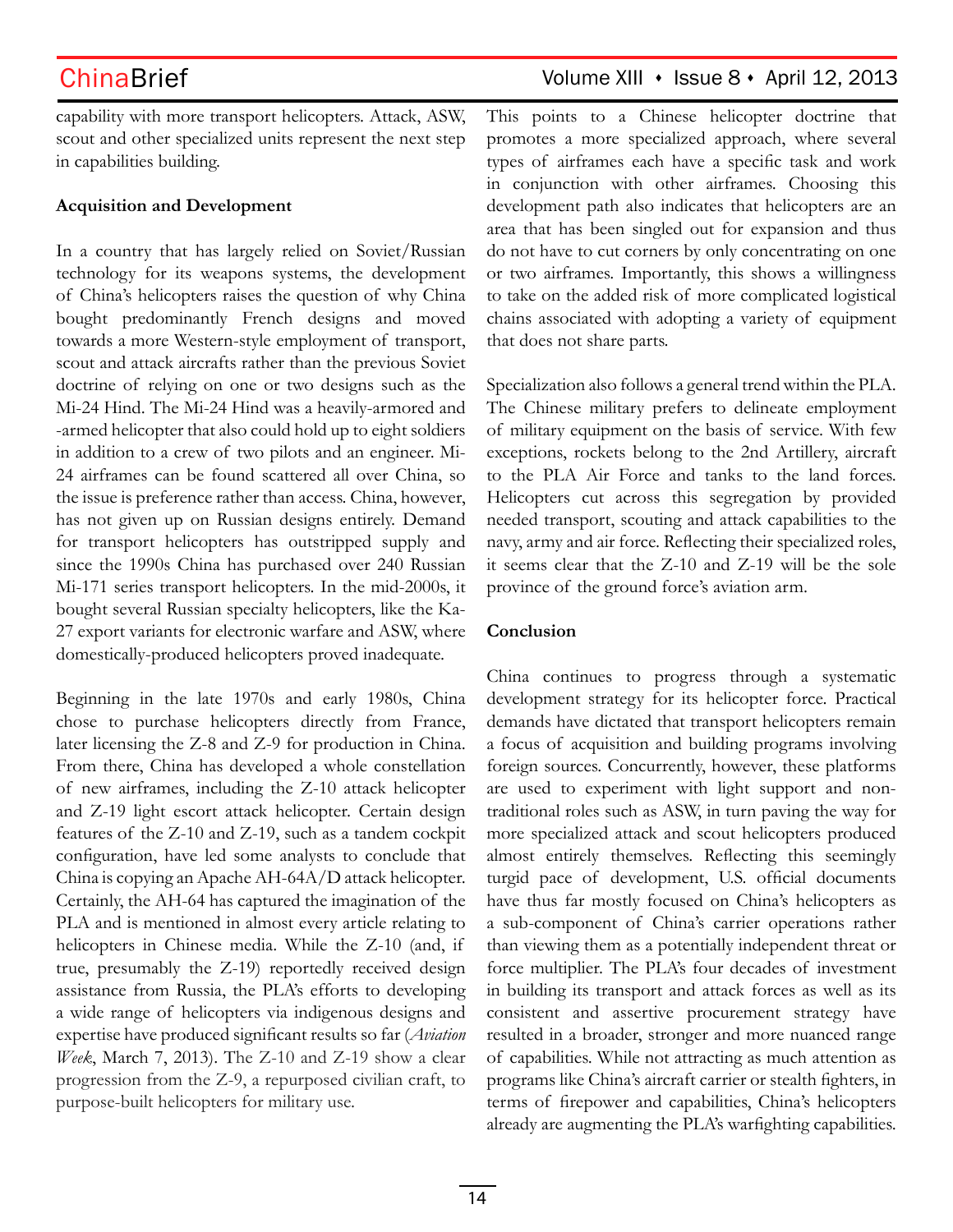capability with more transport helicopters. Attack, ASW, scout and other specialized units represent the next step in capabilities building.

### **Acquisition and Development**

In a country that has largely relied on Soviet/Russian technology for its weapons systems, the development of China's helicopters raises the question of why China bought predominantly French designs and moved towards a more Western-style employment of transport, scout and attack aircrafts rather than the previous Soviet doctrine of relying on one or two designs such as the Mi-24 Hind. The Mi-24 Hind was a heavily-armored and -armed helicopter that also could hold up to eight soldiers in addition to a crew of two pilots and an engineer. Mi-24 airframes can be found scattered all over China, so the issue is preference rather than access. China, however, has not given up on Russian designs entirely. Demand for transport helicopters has outstripped supply and since the 1990s China has purchased over 240 Russian Mi-171 series transport helicopters. In the mid-2000s, it bought several Russian specialty helicopters, like the Ka-27 export variants for electronic warfare and ASW, where domestically-produced helicopters proved inadequate.

Beginning in the late 1970s and early 1980s, China chose to purchase helicopters directly from France, later licensing the Z-8 and Z-9 for production in China. From there, China has developed a whole constellation of new airframes, including the Z-10 attack helicopter and Z-19 light escort attack helicopter. Certain design features of the Z-10 and Z-19, such as a tandem cockpit configuration, have led some analysts to conclude that China is copying an Apache AH-64A/D attack helicopter. Certainly, the AH-64 has captured the imagination of the PLA and is mentioned in almost every article relating to helicopters in Chinese media. While the Z-10 (and, if true, presumably the Z-19) reportedly received design assistance from Russia, the PLA's efforts to developing a wide range of helicopters via indigenous designs and expertise have produced significant results so far (*Aviation Week*, March 7, 2013). The Z-10 and Z-19 show a clear progression from the Z-9, a repurposed civilian craft, to purpose-built helicopters for military use.

## ChinaBrief Volume XIII · Issue 8 · April 12, 2013

This points to a Chinese helicopter doctrine that promotes a more specialized approach, where several types of airframes each have a specific task and work in conjunction with other airframes. Choosing this development path also indicates that helicopters are an area that has been singled out for expansion and thus do not have to cut corners by only concentrating on one or two airframes. Importantly, this shows a willingness to take on the added risk of more complicated logistical chains associated with adopting a variety of equipment that does not share parts.

Specialization also follows a general trend within the PLA. The Chinese military prefers to delineate employment of military equipment on the basis of service. With few exceptions, rockets belong to the 2nd Artillery, aircraft to the PLA Air Force and tanks to the land forces. Helicopters cut across this segregation by provided needed transport, scouting and attack capabilities to the navy, army and air force. Reflecting their specialized roles, it seems clear that the Z-10 and Z-19 will be the sole province of the ground force's aviation arm.

## **Conclusion**

China continues to progress through a systematic development strategy for its helicopter force. Practical demands have dictated that transport helicopters remain a focus of acquisition and building programs involving foreign sources. Concurrently, however, these platforms are used to experiment with light support and nontraditional roles such as ASW, in turn paving the way for more specialized attack and scout helicopters produced almost entirely themselves. Reflecting this seemingly turgid pace of development, U.S. official documents have thus far mostly focused on China's helicopters as a sub-component of China's carrier operations rather than viewing them as a potentially independent threat or force multiplier. The PLA's four decades of investment in building its transport and attack forces as well as its consistent and assertive procurement strategy have resulted in a broader, stronger and more nuanced range of capabilities. While not attracting as much attention as programs like China's aircraft carrier or stealth fighters, in terms of firepower and capabilities, China's helicopters already are augmenting the PLA's warfighting capabilities.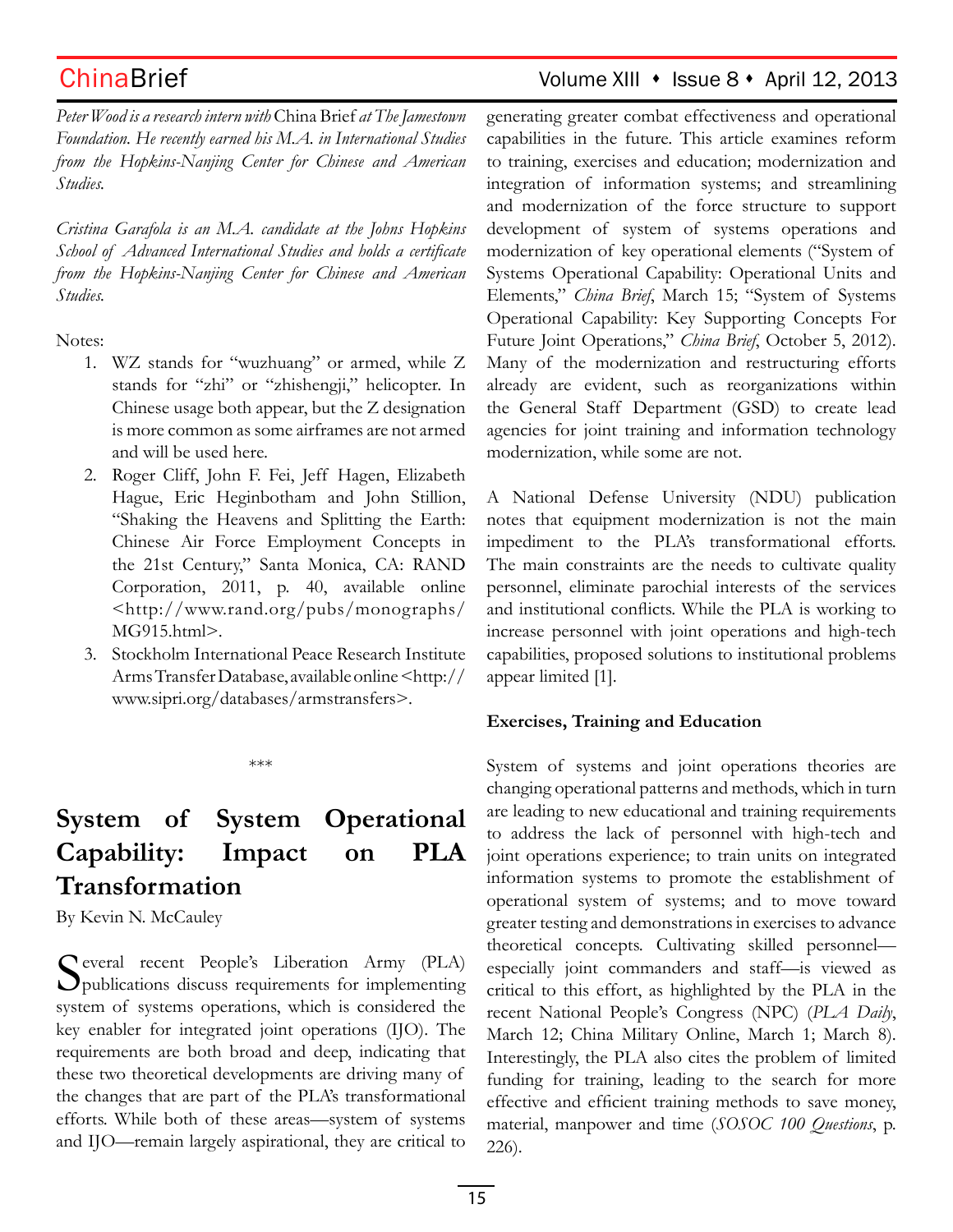## ChinaBrief Volume XIII • Issue 8 • April 12, 2013

*Peter Wood is a research intern with* China Brief *at The Jamestown Foundation. He recently earned his M.A. in International Studies from the Hopkins-Nanjing Center for Chinese and American Studies.*

*Cristina Garafola is an M.A. candidate at the Johns Hopkins School of Advanced International Studies and holds a certificate from the Hopkins-Nanjing Center for Chinese and American Studies.* 

Notes:

- 1. WZ stands for "wuzhuang" or armed, while Z stands for "zhi" or "zhishengji," helicopter. In Chinese usage both appear, but the Z designation is more common as some airframes are not armed and will be used here.
- 2. Roger Cliff, John F. Fei, Jeff Hagen, Elizabeth Hague, Eric Heginbotham and John Stillion, "Shaking the Heavens and Splitting the Earth: Chinese Air Force Employment Concepts in the 21st Century," Santa Monica, CA: RAND Corporation, 2011, p. 40, available online <http://www.rand.org/pubs/monographs/ MG915.html>.
- 3. Stockholm International Peace Research Institute Arms Transfer Database, available online <http:// www.sipri.org/databases/armstransfers>.

\*\*\*

# **System of System Operational Capability: Impact on PLA Transformation**

By Kevin N. McCauley

Several recent People's Liberation Army (PLA) publications discuss requirements for implementing system of systems operations, which is considered the key enabler for integrated joint operations (IJO). The requirements are both broad and deep, indicating that these two theoretical developments are driving many of the changes that are part of the PLA's transformational efforts. While both of these areas—system of systems and IJO—remain largely aspirational, they are critical to generating greater combat effectiveness and operational capabilities in the future. This article examines reform to training, exercises and education; modernization and integration of information systems; and streamlining and modernization of the force structure to support development of system of systems operations and modernization of key operational elements ("System of Systems Operational Capability: Operational Units and Elements," *China Brief*, March 15; "System of Systems Operational Capability: Key Supporting Concepts For Future Joint Operations," *China Brief*, October 5, 2012). Many of the modernization and restructuring efforts already are evident, such as reorganizations within the General Staff Department (GSD) to create lead agencies for joint training and information technology modernization, while some are not.

A National Defense University (NDU) publication notes that equipment modernization is not the main impediment to the PLA's transformational efforts. The main constraints are the needs to cultivate quality personnel, eliminate parochial interests of the services and institutional conflicts. While the PLA is working to increase personnel with joint operations and high-tech capabilities, proposed solutions to institutional problems appear limited [1].

### **Exercises, Training and Education**

System of systems and joint operations theories are changing operational patterns and methods, which in turn are leading to new educational and training requirements to address the lack of personnel with high-tech and joint operations experience; to train units on integrated information systems to promote the establishment of operational system of systems; and to move toward greater testing and demonstrations in exercises to advance theoretical concepts. Cultivating skilled personnel especially joint commanders and staff—is viewed as critical to this effort, as highlighted by the PLA in the recent National People's Congress (NPC) (*PLA Daily*, March 12; China Military Online, March 1; March 8). Interestingly, the PLA also cites the problem of limited funding for training, leading to the search for more effective and efficient training methods to save money, material, manpower and time (*SOSOC 100 Questions*, p. 226).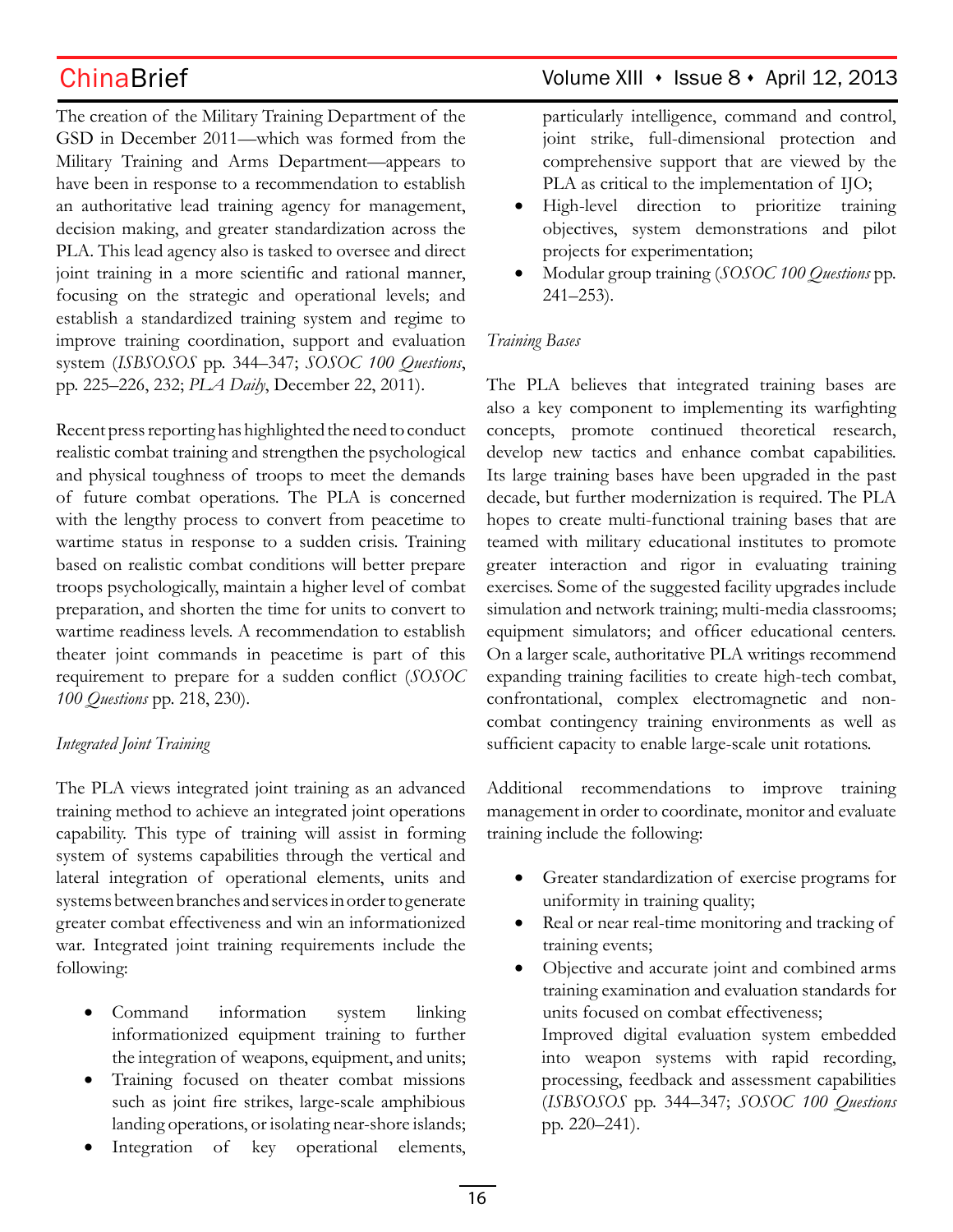The creation of the Military Training Department of the GSD in December 2011—which was formed from the Military Training and Arms Department—appears to have been in response to a recommendation to establish an authoritative lead training agency for management, decision making, and greater standardization across the PLA. This lead agency also is tasked to oversee and direct joint training in a more scientific and rational manner, focusing on the strategic and operational levels; and establish a standardized training system and regime to improve training coordination, support and evaluation system (*ISBSOSOS* pp. 344–347; *SOSOC 100 Questions*, pp. 225–226, 232; *PLA Daily*, December 22, 2011).

Recent press reporting has highlighted the need to conduct realistic combat training and strengthen the psychological and physical toughness of troops to meet the demands of future combat operations. The PLA is concerned with the lengthy process to convert from peacetime to wartime status in response to a sudden crisis. Training based on realistic combat conditions will better prepare troops psychologically, maintain a higher level of combat preparation, and shorten the time for units to convert to wartime readiness levels. A recommendation to establish theater joint commands in peacetime is part of this requirement to prepare for a sudden conflict (*SOSOC 100 Questions* pp. 218, 230).

## *Integrated Joint Training*

The PLA views integrated joint training as an advanced training method to achieve an integrated joint operations capability. This type of training will assist in forming system of systems capabilities through the vertical and lateral integration of operational elements, units and systems between branches and services in order to generate greater combat effectiveness and win an informationized war. Integrated joint training requirements include the following:

- Command information system linking informationized equipment training to further the integration of weapons, equipment, and units;
- Training focused on theater combat missions such as joint fire strikes, large-scale amphibious landing operations, or isolating near-shore islands;
- Integration of key operational elements,

## ChinaBrief Volume XIII • Issue 8 • April 12, 2013

particularly intelligence, command and control, joint strike, full-dimensional protection and comprehensive support that are viewed by the PLA as critical to the implementation of IJO;

- • High-level direction to prioritize training objectives, system demonstrations and pilot projects for experimentation;
- • Modular group training (*SOSOC 100 Questions* pp. 241–253).

### *Training Bases*

The PLA believes that integrated training bases are also a key component to implementing its warfighting concepts, promote continued theoretical research, develop new tactics and enhance combat capabilities. Its large training bases have been upgraded in the past decade, but further modernization is required. The PLA hopes to create multi-functional training bases that are teamed with military educational institutes to promote greater interaction and rigor in evaluating training exercises. Some of the suggested facility upgrades include simulation and network training; multi-media classrooms; equipment simulators; and officer educational centers. On a larger scale, authoritative PLA writings recommend expanding training facilities to create high-tech combat, confrontational, complex electromagnetic and noncombat contingency training environments as well as sufficient capacity to enable large-scale unit rotations.

Additional recommendations to improve training management in order to coordinate, monitor and evaluate training include the following:

- Greater standardization of exercise programs for uniformity in training quality;
- Real or near real-time monitoring and tracking of training events;
- Objective and accurate joint and combined arms training examination and evaluation standards for units focused on combat effectiveness; Improved digital evaluation system embedded into weapon systems with rapid recording, processing, feedback and assessment capabilities (*ISBSOSOS* pp. 344–347; *SOSOC 100 Questions* pp. 220–241).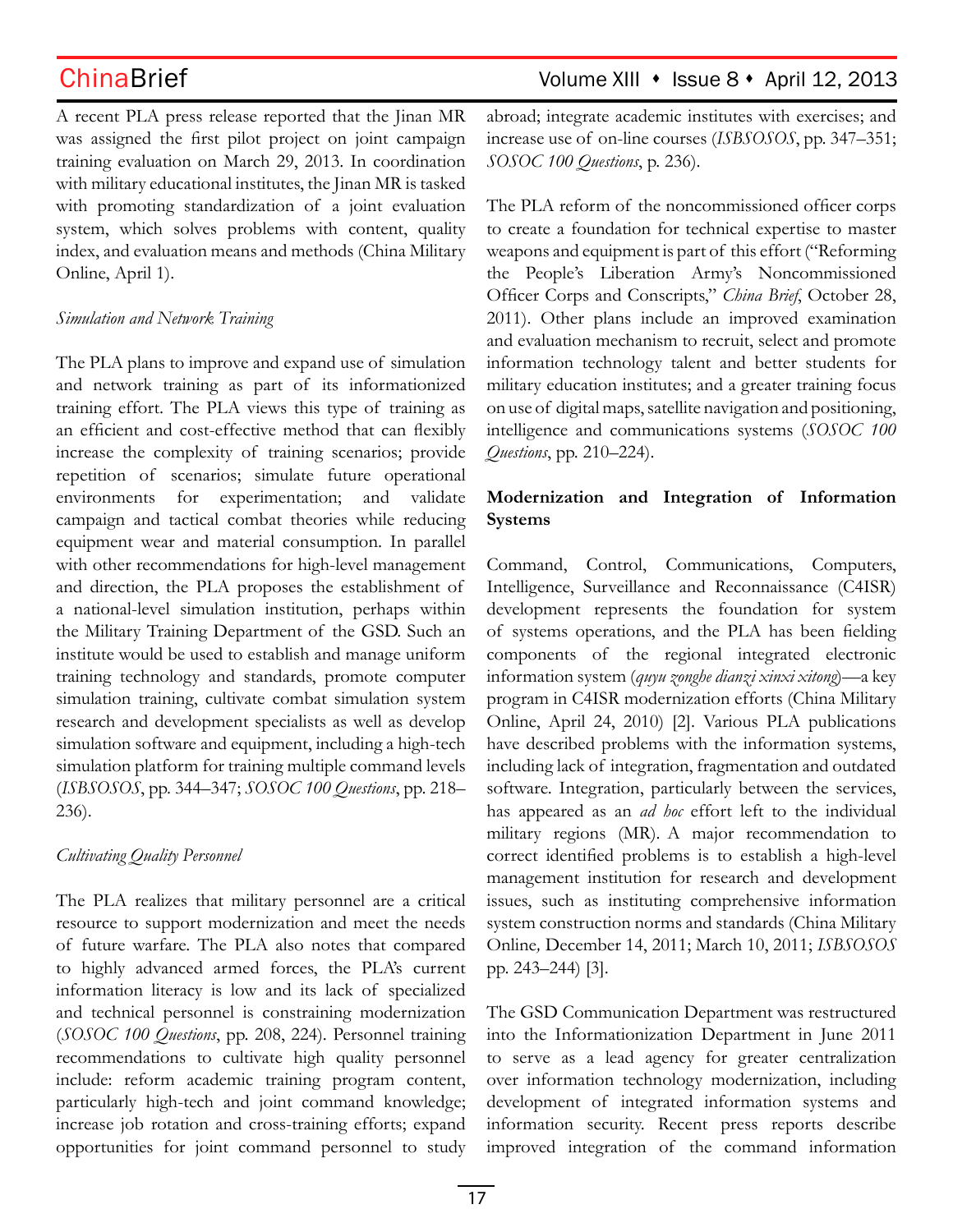## ChinaBrief Volume XIII • Issue 8 • April 12, 2013

A recent PLA press release reported that the Jinan MR was assigned the first pilot project on joint campaign training evaluation on March 29, 2013. In coordination with military educational institutes, the Jinan MR is tasked with promoting standardization of a joint evaluation system, which solves problems with content, quality index, and evaluation means and methods (China Military Online, April 1).

### *Simulation and Network Training*

The PLA plans to improve and expand use of simulation and network training as part of its informationized training effort. The PLA views this type of training as an efficient and cost-effective method that can flexibly increase the complexity of training scenarios; provide repetition of scenarios; simulate future operational environments for experimentation; and validate campaign and tactical combat theories while reducing equipment wear and material consumption. In parallel with other recommendations for high-level management and direction, the PLA proposes the establishment of a national-level simulation institution, perhaps within the Military Training Department of the GSD. Such an institute would be used to establish and manage uniform training technology and standards, promote computer simulation training, cultivate combat simulation system research and development specialists as well as develop simulation software and equipment, including a high-tech simulation platform for training multiple command levels (*ISBSOSOS*, pp. 344–347; *SOSOC 100 Questions*, pp. 218– 236).

### *Cultivating Quality Personnel*

The PLA realizes that military personnel are a critical resource to support modernization and meet the needs of future warfare. The PLA also notes that compared to highly advanced armed forces, the PLA's current information literacy is low and its lack of specialized and technical personnel is constraining modernization (*SOSOC 100 Questions*, pp. 208, 224). Personnel training recommendations to cultivate high quality personnel include: reform academic training program content, particularly high-tech and joint command knowledge; increase job rotation and cross-training efforts; expand opportunities for joint command personnel to study

abroad; integrate academic institutes with exercises; and increase use of on-line courses (*ISBSOSOS*, pp. 347–351; *SOSOC 100 Questions*, p. 236).

The PLA reform of the noncommissioned officer corps to create a foundation for technical expertise to master weapons and equipment is part of this effort ("Reforming the People's Liberation Army's Noncommissioned Officer Corps and Conscripts," *China Brief*, October 28, 2011). Other plans include an improved examination and evaluation mechanism to recruit, select and promote information technology talent and better students for military education institutes; and a greater training focus on use of digital maps, satellite navigation and positioning, intelligence and communications systems (*SOSOC 100 Questions*, pp. 210–224).

## **Modernization and Integration of Information Systems**

Command, Control, Communications, Computers, Intelligence, Surveillance and Reconnaissance (C4ISR) development represents the foundation for system of systems operations, and the PLA has been fielding components of the regional integrated electronic information system (*quyu zonghe dianzi xinxi xitong*)—a key program in C4ISR modernization efforts (China Military Online, April 24, 2010) [2]. Various PLA publications have described problems with the information systems, including lack of integration, fragmentation and outdated software. Integration, particularly between the services, has appeared as an *ad hoc* effort left to the individual military regions (MR). A major recommendation to correct identified problems is to establish a high-level management institution for research and development issues, such as instituting comprehensive information system construction norms and standards (China Military Online*,* December 14, 2011; March 10, 2011; *ISBSOSOS*  pp. 243–244) [3].

The GSD Communication Department was restructured into the Informationization Department in June 2011 to serve as a lead agency for greater centralization over information technology modernization, including development of integrated information systems and information security. Recent press reports describe improved integration of the command information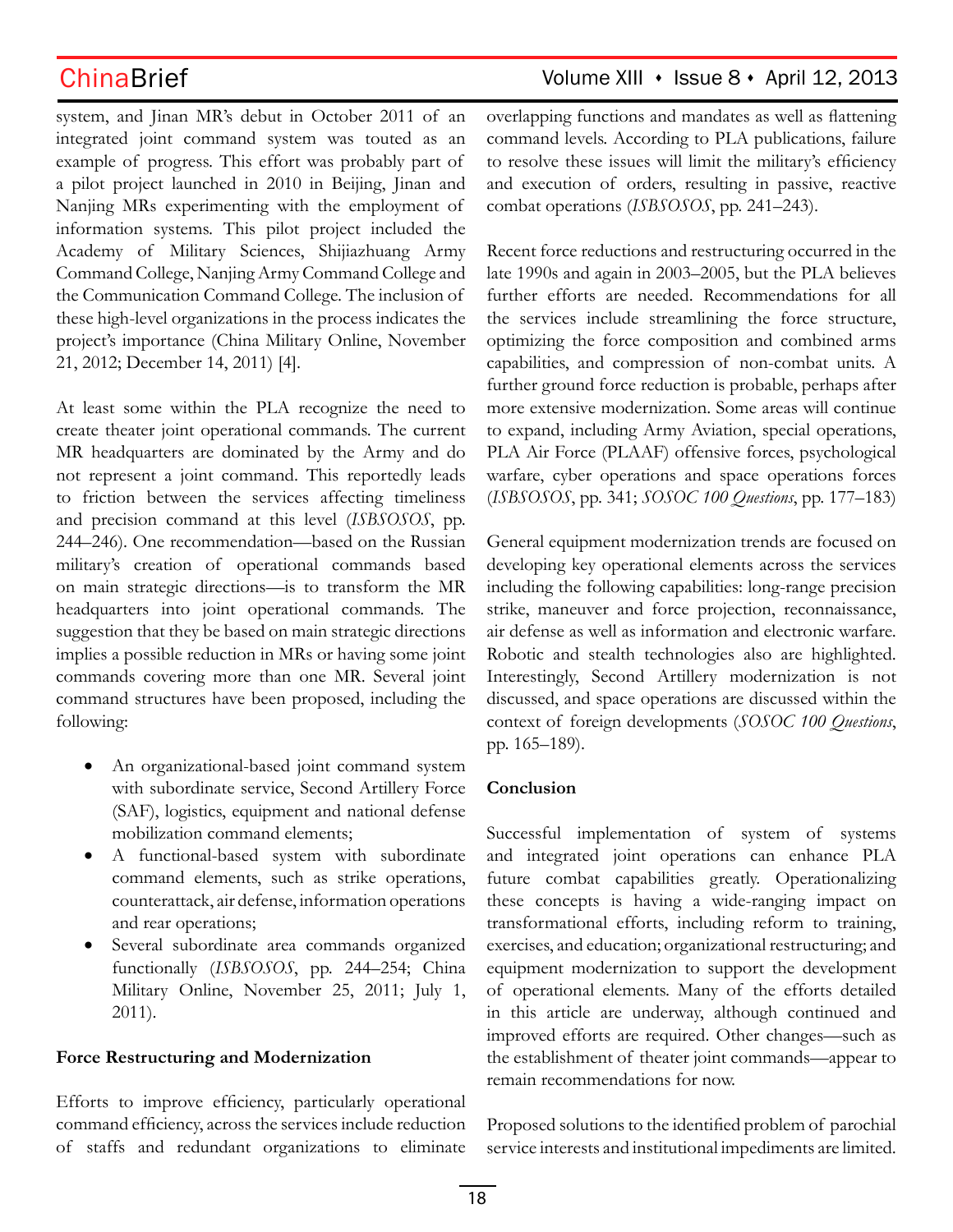system, and Jinan MR's debut in October 2011 of an integrated joint command system was touted as an example of progress. This effort was probably part of a pilot project launched in 2010 in Beijing, Jinan and Nanjing MRs experimenting with the employment of information systems. This pilot project included the Academy of Military Sciences, Shijiazhuang Army Command College, Nanjing Army Command College and the Communication Command College. The inclusion of these high-level organizations in the process indicates the project's importance (China Military Online, November 21, 2012; December 14, 2011) [4].

At least some within the PLA recognize the need to create theater joint operational commands. The current MR headquarters are dominated by the Army and do not represent a joint command. This reportedly leads to friction between the services affecting timeliness and precision command at this level (*ISBSOSOS*, pp. 244–246). One recommendation—based on the Russian military's creation of operational commands based on main strategic directions—is to transform the MR headquarters into joint operational commands. The suggestion that they be based on main strategic directions implies a possible reduction in MRs or having some joint commands covering more than one MR. Several joint command structures have been proposed, including the following:

- An organizational-based joint command system with subordinate service, Second Artillery Force (SAF), logistics, equipment and national defense mobilization command elements;
- A functional-based system with subordinate command elements, such as strike operations, counterattack, air defense, information operations and rear operations;
- • Several subordinate area commands organized functionally (*ISBSOSOS*, pp. 244–254; China Military Online, November 25, 2011; July 1, 2011).

### **Force Restructuring and Modernization**

Efforts to improve efficiency, particularly operational command efficiency, across the services include reduction of staffs and redundant organizations to eliminate

## ChinaBrief Volume XIII · Issue 8 · April 12, 2013

overlapping functions and mandates as well as flattening command levels. According to PLA publications, failure to resolve these issues will limit the military's efficiency and execution of orders, resulting in passive, reactive combat operations (*ISBSOSOS*, pp. 241–243).

Recent force reductions and restructuring occurred in the late 1990s and again in 2003–2005, but the PLA believes further efforts are needed. Recommendations for all the services include streamlining the force structure, optimizing the force composition and combined arms capabilities, and compression of non-combat units. A further ground force reduction is probable, perhaps after more extensive modernization. Some areas will continue to expand, including Army Aviation, special operations, PLA Air Force (PLAAF) offensive forces, psychological warfare, cyber operations and space operations forces (*ISBSOSOS*, pp. 341; *SOSOC 100 Questions*, pp. 177–183)

General equipment modernization trends are focused on developing key operational elements across the services including the following capabilities: long-range precision strike, maneuver and force projection, reconnaissance, air defense as well as information and electronic warfare. Robotic and stealth technologies also are highlighted. Interestingly, Second Artillery modernization is not discussed, and space operations are discussed within the context of foreign developments (*SOSOC 100 Questions*, pp. 165–189).

### **Conclusion**

Successful implementation of system of systems and integrated joint operations can enhance PLA future combat capabilities greatly. Operationalizing these concepts is having a wide-ranging impact on transformational efforts, including reform to training, exercises, and education; organizational restructuring; and equipment modernization to support the development of operational elements. Many of the efforts detailed in this article are underway, although continued and improved efforts are required. Other changes—such as the establishment of theater joint commands—appear to remain recommendations for now.

Proposed solutions to the identified problem of parochial service interests and institutional impediments are limited.